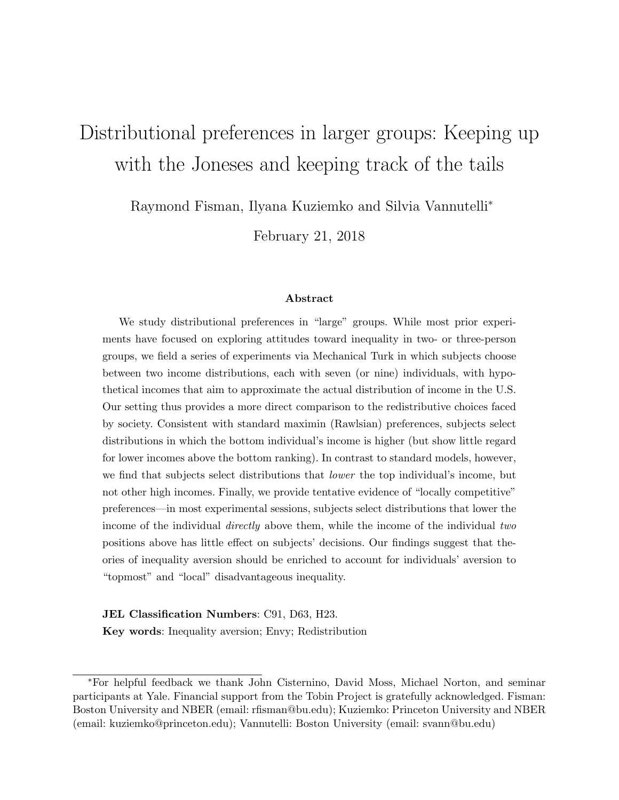# Distributional preferences in larger groups: Keeping up with the Joneses and keeping track of the tails

Raymond Fisman, Ilyana Kuziemko and Silvia Vannutelli<sup>∗</sup>

February 21, 2018

#### Abstract

We study distributional preferences in "large" groups. While most prior experiments have focused on exploring attitudes toward inequality in two- or three-person groups, we field a series of experiments via Mechanical Turk in which subjects choose between two income distributions, each with seven (or nine) individuals, with hypothetical incomes that aim to approximate the actual distribution of income in the U.S. Our setting thus provides a more direct comparison to the redistributive choices faced by society. Consistent with standard maximin (Rawlsian) preferences, subjects select distributions in which the bottom individual's income is higher (but show little regard for lower incomes above the bottom ranking). In contrast to standard models, however, we find that subjects select distributions that *lower* the top individual's income, but not other high incomes. Finally, we provide tentative evidence of "locally competitive" preferences—in most experimental sessions, subjects select distributions that lower the income of the individual directly above them, while the income of the individual two positions above has little effect on subjects' decisions. Our findings suggest that theories of inequality aversion should be enriched to account for individuals' aversion to "topmost" and "local" disadvantageous inequality.

## JEL Classification Numbers: C91, D63, H23.

Key words: Inequality aversion; Envy; Redistribution

<sup>∗</sup>For helpful feedback we thank John Cisternino, David Moss, Michael Norton, and seminar participants at Yale. Financial support from the Tobin Project is gratefully acknowledged. Fisman: Boston University and NBER (email: rfisman@bu.edu); Kuziemko: Princeton University and NBER (email: kuziemko@princeton.edu); Vannutelli: Boston University (email: svann@bu.edu)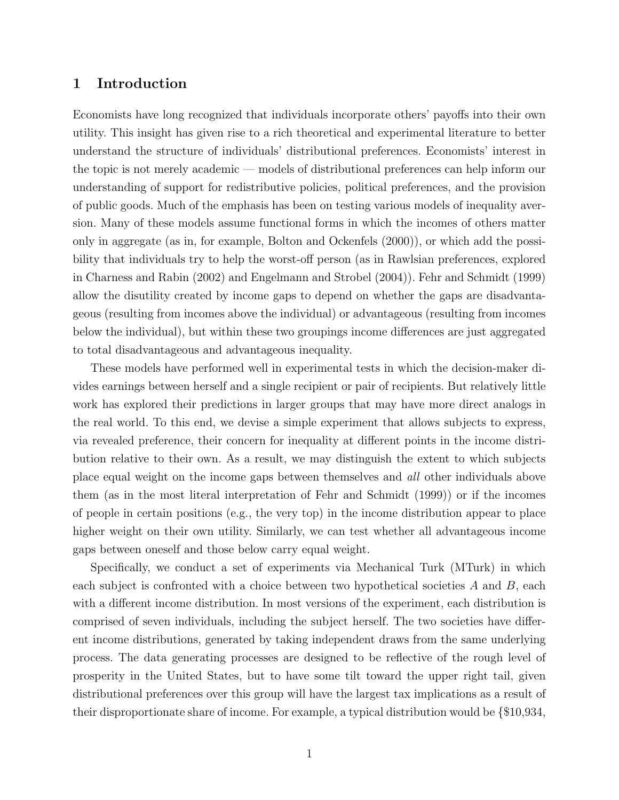## 1 Introduction

Economists have long recognized that individuals incorporate others' payoffs into their own utility. This insight has given rise to a rich theoretical and experimental literature to better understand the structure of individuals' distributional preferences. Economists' interest in the topic is not merely academic — models of distributional preferences can help inform our understanding of support for redistributive policies, political preferences, and the provision of public goods. Much of the emphasis has been on testing various models of inequality aversion. Many of these models assume functional forms in which the incomes of others matter only in aggregate (as in, for example, Bolton and Ockenfels (2000)), or which add the possibility that individuals try to help the worst-off person (as in Rawlsian preferences, explored in Charness and Rabin (2002) and Engelmann and Strobel (2004)). Fehr and Schmidt (1999) allow the disutility created by income gaps to depend on whether the gaps are disadvantageous (resulting from incomes above the individual) or advantageous (resulting from incomes below the individual), but within these two groupings income differences are just aggregated to total disadvantageous and advantageous inequality.

These models have performed well in experimental tests in which the decision-maker divides earnings between herself and a single recipient or pair of recipients. But relatively little work has explored their predictions in larger groups that may have more direct analogs in the real world. To this end, we devise a simple experiment that allows subjects to express, via revealed preference, their concern for inequality at different points in the income distribution relative to their own. As a result, we may distinguish the extent to which subjects place equal weight on the income gaps between themselves and all other individuals above them (as in the most literal interpretation of Fehr and Schmidt (1999)) or if the incomes of people in certain positions (e.g., the very top) in the income distribution appear to place higher weight on their own utility. Similarly, we can test whether all advantageous income gaps between oneself and those below carry equal weight.

Specifically, we conduct a set of experiments via Mechanical Turk (MTurk) in which each subject is confronted with a choice between two hypothetical societies  $A$  and  $B$ , each with a different income distribution. In most versions of the experiment, each distribution is comprised of seven individuals, including the subject herself. The two societies have different income distributions, generated by taking independent draws from the same underlying process. The data generating processes are designed to be reflective of the rough level of prosperity in the United States, but to have some tilt toward the upper right tail, given distributional preferences over this group will have the largest tax implications as a result of their disproportionate share of income. For example, a typical distribution would be  $\{\$10,934,$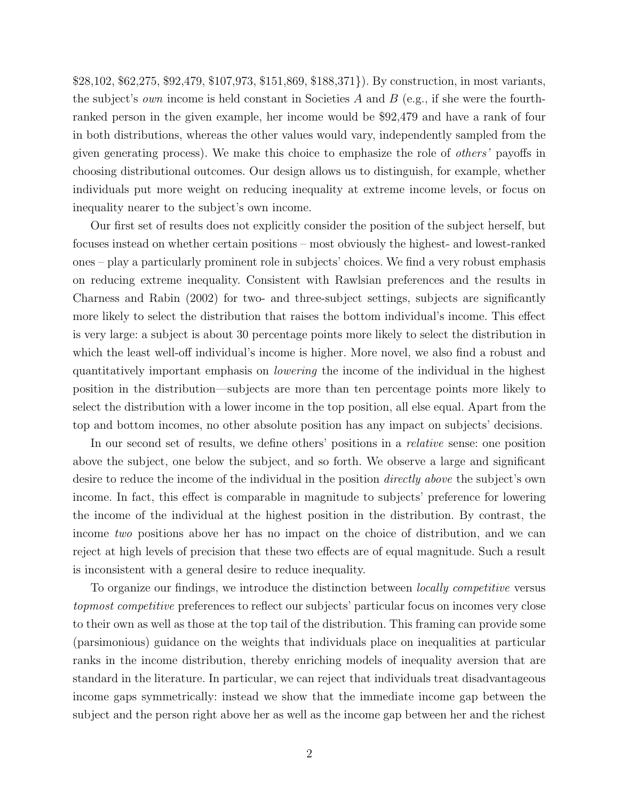\$28,102, \$62,275, \$92,479, \$107,973, \$151,869, \$188,371}). By construction, in most variants, the subject's *own* income is held constant in Societies  $A$  and  $B$  (e.g., if she were the fourthranked person in the given example, her income would be \$92,479 and have a rank of four in both distributions, whereas the other values would vary, independently sampled from the given generating process). We make this choice to emphasize the role of others' payoffs in choosing distributional outcomes. Our design allows us to distinguish, for example, whether individuals put more weight on reducing inequality at extreme income levels, or focus on inequality nearer to the subject's own income.

Our first set of results does not explicitly consider the position of the subject herself, but focuses instead on whether certain positions – most obviously the highest- and lowest-ranked ones – play a particularly prominent role in subjects' choices. We find a very robust emphasis on reducing extreme inequality. Consistent with Rawlsian preferences and the results in Charness and Rabin (2002) for two- and three-subject settings, subjects are significantly more likely to select the distribution that raises the bottom individual's income. This effect is very large: a subject is about 30 percentage points more likely to select the distribution in which the least well-off individual's income is higher. More novel, we also find a robust and quantitatively important emphasis on lowering the income of the individual in the highest position in the distribution—subjects are more than ten percentage points more likely to select the distribution with a lower income in the top position, all else equal. Apart from the top and bottom incomes, no other absolute position has any impact on subjects' decisions.

In our second set of results, we define others' positions in a relative sense: one position above the subject, one below the subject, and so forth. We observe a large and significant desire to reduce the income of the individual in the position *directly above* the subject's own income. In fact, this effect is comparable in magnitude to subjects' preference for lowering the income of the individual at the highest position in the distribution. By contrast, the income two positions above her has no impact on the choice of distribution, and we can reject at high levels of precision that these two effects are of equal magnitude. Such a result is inconsistent with a general desire to reduce inequality.

To organize our findings, we introduce the distinction between *locally competitive* versus topmost competitive preferences to reflect our subjects' particular focus on incomes very close to their own as well as those at the top tail of the distribution. This framing can provide some (parsimonious) guidance on the weights that individuals place on inequalities at particular ranks in the income distribution, thereby enriching models of inequality aversion that are standard in the literature. In particular, we can reject that individuals treat disadvantageous income gaps symmetrically: instead we show that the immediate income gap between the subject and the person right above her as well as the income gap between her and the richest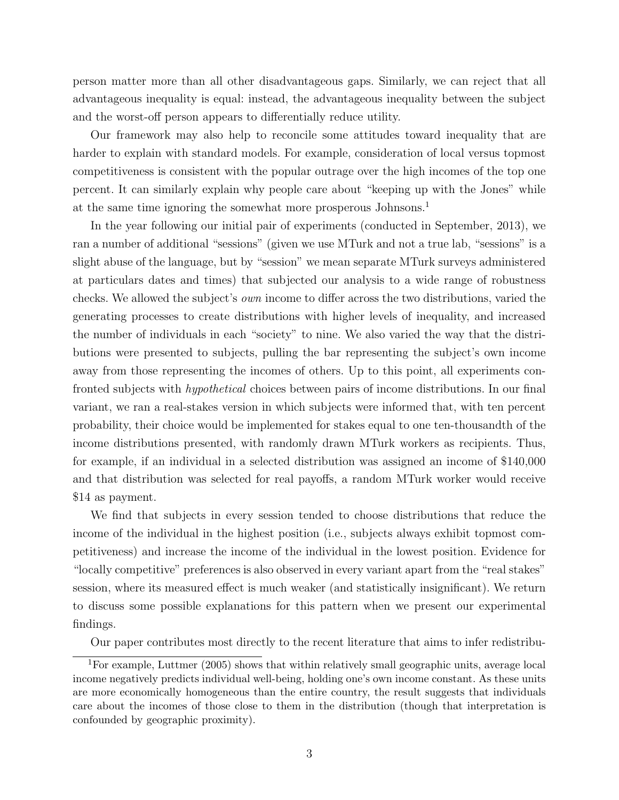person matter more than all other disadvantageous gaps. Similarly, we can reject that all advantageous inequality is equal: instead, the advantageous inequality between the subject and the worst-off person appears to differentially reduce utility.

Our framework may also help to reconcile some attitudes toward inequality that are harder to explain with standard models. For example, consideration of local versus topmost competitiveness is consistent with the popular outrage over the high incomes of the top one percent. It can similarly explain why people care about "keeping up with the Jones" while at the same time ignoring the somewhat more prosperous Johnsons.<sup>1</sup>

In the year following our initial pair of experiments (conducted in September, 2013), we ran a number of additional "sessions" (given we use MTurk and not a true lab, "sessions" is a slight abuse of the language, but by "session" we mean separate MTurk surveys administered at particulars dates and times) that subjected our analysis to a wide range of robustness checks. We allowed the subject's own income to differ across the two distributions, varied the generating processes to create distributions with higher levels of inequality, and increased the number of individuals in each "society" to nine. We also varied the way that the distributions were presented to subjects, pulling the bar representing the subject's own income away from those representing the incomes of others. Up to this point, all experiments confronted subjects with hypothetical choices between pairs of income distributions. In our final variant, we ran a real-stakes version in which subjects were informed that, with ten percent probability, their choice would be implemented for stakes equal to one ten-thousandth of the income distributions presented, with randomly drawn MTurk workers as recipients. Thus, for example, if an individual in a selected distribution was assigned an income of \$140,000 and that distribution was selected for real payoffs, a random MTurk worker would receive \$14 as payment.

We find that subjects in every session tended to choose distributions that reduce the income of the individual in the highest position (i.e., subjects always exhibit topmost competitiveness) and increase the income of the individual in the lowest position. Evidence for "locally competitive" preferences is also observed in every variant apart from the "real stakes" session, where its measured effect is much weaker (and statistically insignificant). We return to discuss some possible explanations for this pattern when we present our experimental findings.

Our paper contributes most directly to the recent literature that aims to infer redistribu-

<sup>1</sup>For example, Luttmer (2005) shows that within relatively small geographic units, average local income negatively predicts individual well-being, holding one's own income constant. As these units are more economically homogeneous than the entire country, the result suggests that individuals care about the incomes of those close to them in the distribution (though that interpretation is confounded by geographic proximity).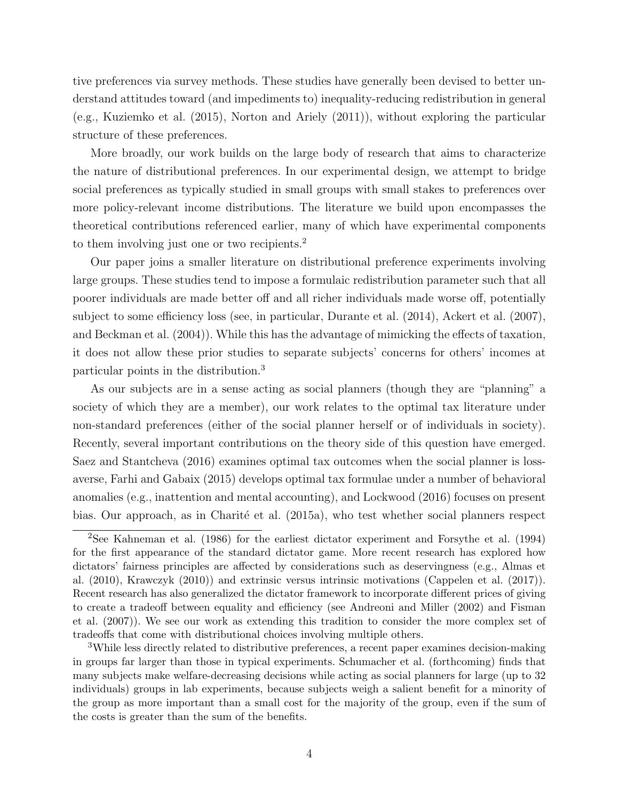tive preferences via survey methods. These studies have generally been devised to better understand attitudes toward (and impediments to) inequality-reducing redistribution in general (e.g., Kuziemko et al. (2015), Norton and Ariely (2011)), without exploring the particular structure of these preferences.

More broadly, our work builds on the large body of research that aims to characterize the nature of distributional preferences. In our experimental design, we attempt to bridge social preferences as typically studied in small groups with small stakes to preferences over more policy-relevant income distributions. The literature we build upon encompasses the theoretical contributions referenced earlier, many of which have experimental components to them involving just one or two recipients.<sup>2</sup>

Our paper joins a smaller literature on distributional preference experiments involving large groups. These studies tend to impose a formulaic redistribution parameter such that all poorer individuals are made better off and all richer individuals made worse off, potentially subject to some efficiency loss (see, in particular, Durante et al. (2014), Ackert et al. (2007), and Beckman et al. (2004)). While this has the advantage of mimicking the effects of taxation, it does not allow these prior studies to separate subjects' concerns for others' incomes at particular points in the distribution.<sup>3</sup>

As our subjects are in a sense acting as social planners (though they are "planning" a society of which they are a member), our work relates to the optimal tax literature under non-standard preferences (either of the social planner herself or of individuals in society). Recently, several important contributions on the theory side of this question have emerged. Saez and Stantcheva (2016) examines optimal tax outcomes when the social planner is lossaverse, Farhi and Gabaix (2015) develops optimal tax formulae under a number of behavioral anomalies (e.g., inattention and mental accounting), and Lockwood (2016) focuses on present bias. Our approach, as in Charité et al. (2015a), who test whether social planners respect

<sup>2</sup>See Kahneman et al. (1986) for the earliest dictator experiment and Forsythe et al. (1994) for the first appearance of the standard dictator game. More recent research has explored how dictators' fairness principles are affected by considerations such as deservingness (e.g., Almas et al. (2010), Krawczyk (2010)) and extrinsic versus intrinsic motivations (Cappelen et al. (2017)). Recent research has also generalized the dictator framework to incorporate different prices of giving to create a tradeoff between equality and efficiency (see Andreoni and Miller (2002) and Fisman et al. (2007)). We see our work as extending this tradition to consider the more complex set of tradeoffs that come with distributional choices involving multiple others.

<sup>3</sup>While less directly related to distributive preferences, a recent paper examines decision-making in groups far larger than those in typical experiments. Schumacher et al. (forthcoming) finds that many subjects make welfare-decreasing decisions while acting as social planners for large (up to 32 individuals) groups in lab experiments, because subjects weigh a salient benefit for a minority of the group as more important than a small cost for the majority of the group, even if the sum of the costs is greater than the sum of the benefits.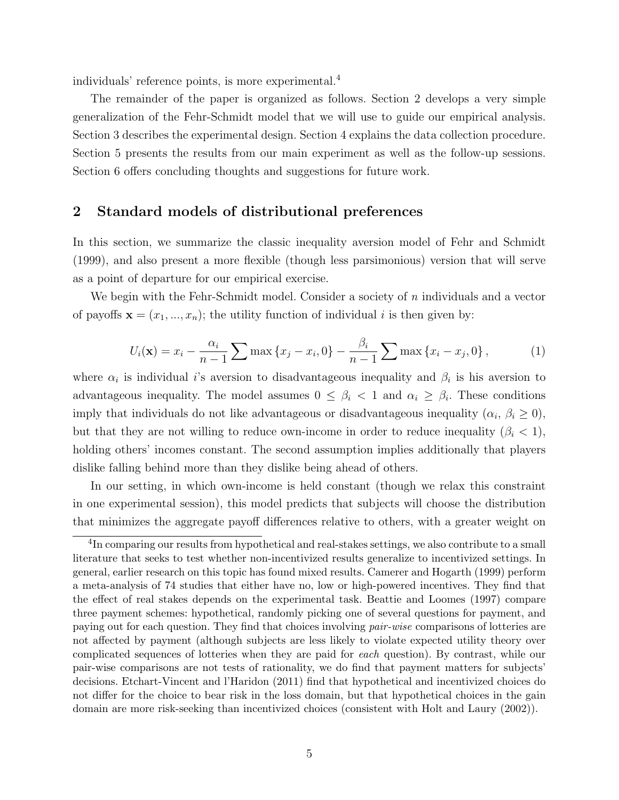individuals' reference points, is more experimental.<sup>4</sup>

The remainder of the paper is organized as follows. Section 2 develops a very simple generalization of the Fehr-Schmidt model that we will use to guide our empirical analysis. Section 3 describes the experimental design. Section 4 explains the data collection procedure. Section 5 presents the results from our main experiment as well as the follow-up sessions. Section 6 offers concluding thoughts and suggestions for future work.

## 2 Standard models of distributional preferences

In this section, we summarize the classic inequality aversion model of Fehr and Schmidt (1999), and also present a more flexible (though less parsimonious) version that will serve as a point of departure for our empirical exercise.

We begin with the Fehr-Schmidt model. Consider a society of  $n$  individuals and a vector of payoffs  $\mathbf{x} = (x_1, ..., x_n)$ ; the utility function of individual *i* is then given by:

$$
U_i(\mathbf{x}) = x_i - \frac{\alpha_i}{n-1} \sum \max \{ x_j - x_i, 0 \} - \frac{\beta_i}{n-1} \sum \max \{ x_i - x_j, 0 \}, \tag{1}
$$

where  $\alpha_i$  is individual i's aversion to disadvantageous inequality and  $\beta_i$  is his aversion to advantageous inequality. The model assumes  $0 \leq \beta_i < 1$  and  $\alpha_i \geq \beta_i$ . These conditions imply that individuals do not like advantageous or disadvantageous inequality  $(\alpha_i, \beta_i \ge 0)$ , but that they are not willing to reduce own-income in order to reduce inequality  $(\beta_i < 1)$ , holding others' incomes constant. The second assumption implies additionally that players dislike falling behind more than they dislike being ahead of others.

In our setting, in which own-income is held constant (though we relax this constraint in one experimental session), this model predicts that subjects will choose the distribution that minimizes the aggregate payoff differences relative to others, with a greater weight on

<sup>&</sup>lt;sup>4</sup>In comparing our results from hypothetical and real-stakes settings, we also contribute to a small literature that seeks to test whether non-incentivized results generalize to incentivized settings. In general, earlier research on this topic has found mixed results. Camerer and Hogarth (1999) perform a meta-analysis of 74 studies that either have no, low or high-powered incentives. They find that the effect of real stakes depends on the experimental task. Beattie and Loomes (1997) compare three payment schemes: hypothetical, randomly picking one of several questions for payment, and paying out for each question. They find that choices involving pair-wise comparisons of lotteries are not affected by payment (although subjects are less likely to violate expected utility theory over complicated sequences of lotteries when they are paid for each question). By contrast, while our pair-wise comparisons are not tests of rationality, we do find that payment matters for subjects' decisions. Etchart-Vincent and l'Haridon (2011) find that hypothetical and incentivized choices do not differ for the choice to bear risk in the loss domain, but that hypothetical choices in the gain domain are more risk-seeking than incentivized choices (consistent with Holt and Laury (2002)).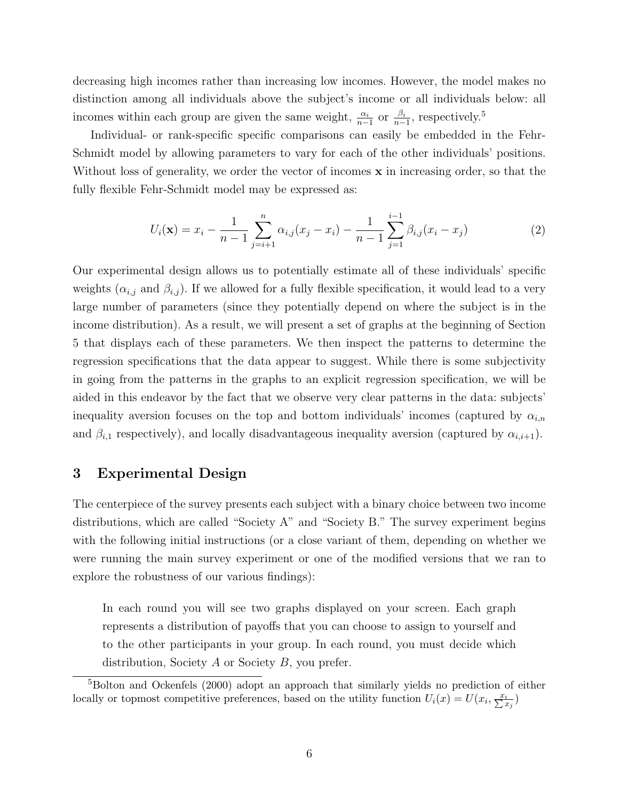decreasing high incomes rather than increasing low incomes. However, the model makes no distinction among all individuals above the subject's income or all individuals below: all incomes within each group are given the same weight,  $\frac{\alpha_i}{n-1}$  or  $\frac{\beta_i}{n-1}$ , respectively.<sup>5</sup>

Individual- or rank-specific specific comparisons can easily be embedded in the Fehr-Schmidt model by allowing parameters to vary for each of the other individuals' positions. Without loss of generality, we order the vector of incomes  $x$  in increasing order, so that the fully flexible Fehr-Schmidt model may be expressed as:

$$
U_i(\mathbf{x}) = x_i - \frac{1}{n-1} \sum_{j=i+1}^n \alpha_{i,j}(x_j - x_i) - \frac{1}{n-1} \sum_{j=1}^{i-1} \beta_{i,j}(x_i - x_j)
$$
(2)

Our experimental design allows us to potentially estimate all of these individuals' specific weights  $(\alpha_{i,j}$  and  $\beta_{i,j})$ . If we allowed for a fully flexible specification, it would lead to a very large number of parameters (since they potentially depend on where the subject is in the income distribution). As a result, we will present a set of graphs at the beginning of Section 5 that displays each of these parameters. We then inspect the patterns to determine the regression specifications that the data appear to suggest. While there is some subjectivity in going from the patterns in the graphs to an explicit regression specification, we will be aided in this endeavor by the fact that we observe very clear patterns in the data: subjects' inequality aversion focuses on the top and bottom individuals' incomes (captured by  $\alpha_{i,n}$ and  $\beta_{i,1}$  respectively), and locally disadvantageous inequality aversion (captured by  $\alpha_{i,i+1}$ ).

## 3 Experimental Design

The centerpiece of the survey presents each subject with a binary choice between two income distributions, which are called "Society A" and "Society B." The survey experiment begins with the following initial instructions (or a close variant of them, depending on whether we were running the main survey experiment or one of the modified versions that we ran to explore the robustness of our various findings):

In each round you will see two graphs displayed on your screen. Each graph represents a distribution of payoffs that you can choose to assign to yourself and to the other participants in your group. In each round, you must decide which distribution, Society  $A$  or Society  $B$ , you prefer.

<sup>&</sup>lt;sup>5</sup>Bolton and Ockenfels (2000) adopt an approach that similarly yields no prediction of either locally or topmost competitive preferences, based on the utility function  $U_i(x) = U(x_i, \frac{x_i}{\sum x_j})$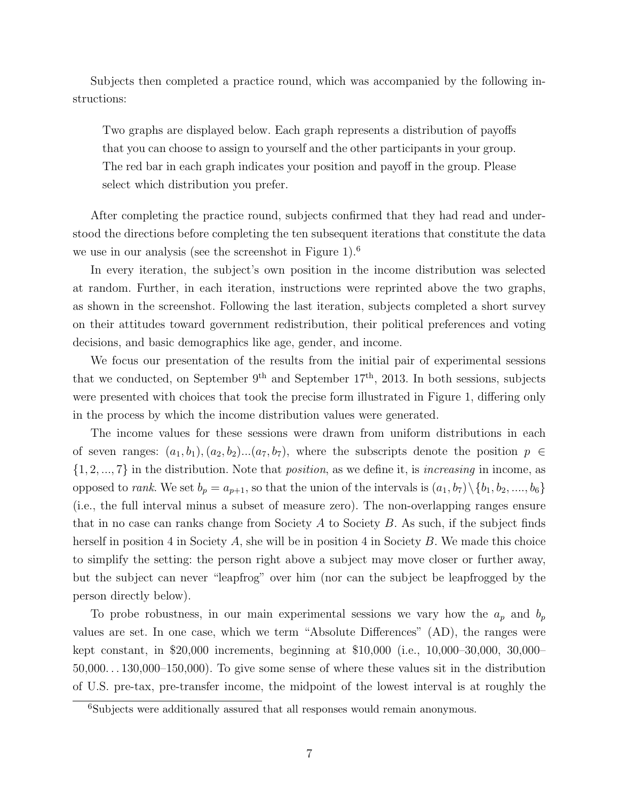Subjects then completed a practice round, which was accompanied by the following instructions:

Two graphs are displayed below. Each graph represents a distribution of payoffs that you can choose to assign to yourself and the other participants in your group. The red bar in each graph indicates your position and payoff in the group. Please select which distribution you prefer.

After completing the practice round, subjects confirmed that they had read and understood the directions before completing the ten subsequent iterations that constitute the data we use in our analysis (see the screenshot in Figure 1).<sup>6</sup>

In every iteration, the subject's own position in the income distribution was selected at random. Further, in each iteration, instructions were reprinted above the two graphs, as shown in the screenshot. Following the last iteration, subjects completed a short survey on their attitudes toward government redistribution, their political preferences and voting decisions, and basic demographics like age, gender, and income.

We focus our presentation of the results from the initial pair of experimental sessions that we conducted, on September  $9<sup>th</sup>$  and September  $17<sup>th</sup>$ , 2013. In both sessions, subjects were presented with choices that took the precise form illustrated in Figure 1, differing only in the process by which the income distribution values were generated.

The income values for these sessions were drawn from uniform distributions in each of seven ranges:  $(a_1, b_1), (a_2, b_2)...(a_7, b_7)$ , where the subscripts denote the position  $p \in$  $\{1, 2, ..., 7\}$  in the distribution. Note that *position*, as we define it, is *increasing* in income, as opposed to *rank*. We set  $b_p = a_{p+1}$ , so that the union of the intervals is  $(a_1, b_7) \setminus \{b_1, b_2, ..., b_6\}$ (i.e., the full interval minus a subset of measure zero). The non-overlapping ranges ensure that in no case can ranks change from Society  $A$  to Society  $B$ . As such, if the subject finds herself in position 4 in Society A, she will be in position 4 in Society B. We made this choice to simplify the setting: the person right above a subject may move closer or further away, but the subject can never "leapfrog" over him (nor can the subject be leapfrogged by the person directly below).

To probe robustness, in our main experimental sessions we vary how the  $a_p$  and  $b_p$ values are set. In one case, which we term "Absolute Differences" (AD), the ranges were kept constant, in \$20,000 increments, beginning at \$10,000 (i.e., 10,000–30,000, 30,000– 50,000. . . 130,000–150,000). To give some sense of where these values sit in the distribution of U.S. pre-tax, pre-transfer income, the midpoint of the lowest interval is at roughly the

<sup>&</sup>lt;sup>6</sup>Subjects were additionally assured that all responses would remain anonymous.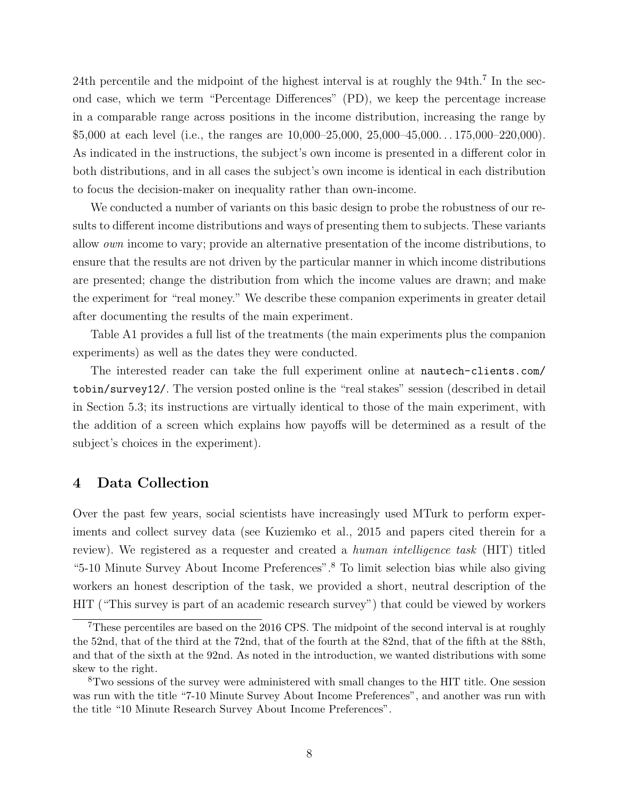24th percentile and the midpoint of the highest interval is at roughly the 94th.<sup>7</sup> In the second case, which we term "Percentage Differences" (PD), we keep the percentage increase in a comparable range across positions in the income distribution, increasing the range by \$5,000 at each level (i.e., the ranges are 10,000–25,000, 25,000–45,000. . . 175,000–220,000). As indicated in the instructions, the subject's own income is presented in a different color in both distributions, and in all cases the subject's own income is identical in each distribution to focus the decision-maker on inequality rather than own-income.

We conducted a number of variants on this basic design to probe the robustness of our results to different income distributions and ways of presenting them to subjects. These variants allow own income to vary; provide an alternative presentation of the income distributions, to ensure that the results are not driven by the particular manner in which income distributions are presented; change the distribution from which the income values are drawn; and make the experiment for "real money." We describe these companion experiments in greater detail after documenting the results of the main experiment.

Table A1 provides a full list of the treatments (the main experiments plus the companion experiments) as well as the dates they were conducted.

The interested reader can take the full experiment online at nautech-clients.com/ tobin/survey12/. The version posted online is the "real stakes" session (described in detail in Section 5.3; its instructions are virtually identical to those of the main experiment, with the addition of a screen which explains how payoffs will be determined as a result of the subject's choices in the experiment).

## 4 Data Collection

Over the past few years, social scientists have increasingly used MTurk to perform experiments and collect survey data (see Kuziemko et al., 2015 and papers cited therein for a review). We registered as a requester and created a *human intelligence task* (HIT) titled "5-10 Minute Survey About Income Preferences".<sup>8</sup> To limit selection bias while also giving workers an honest description of the task, we provided a short, neutral description of the HIT ("This survey is part of an academic research survey") that could be viewed by workers

<sup>&</sup>lt;sup>7</sup>These percentiles are based on the 2016 CPS. The midpoint of the second interval is at roughly the 52nd, that of the third at the 72nd, that of the fourth at the 82nd, that of the fifth at the 88th, and that of the sixth at the 92nd. As noted in the introduction, we wanted distributions with some skew to the right.

<sup>8</sup>Two sessions of the survey were administered with small changes to the HIT title. One session was run with the title "7-10 Minute Survey About Income Preferences", and another was run with the title "10 Minute Research Survey About Income Preferences".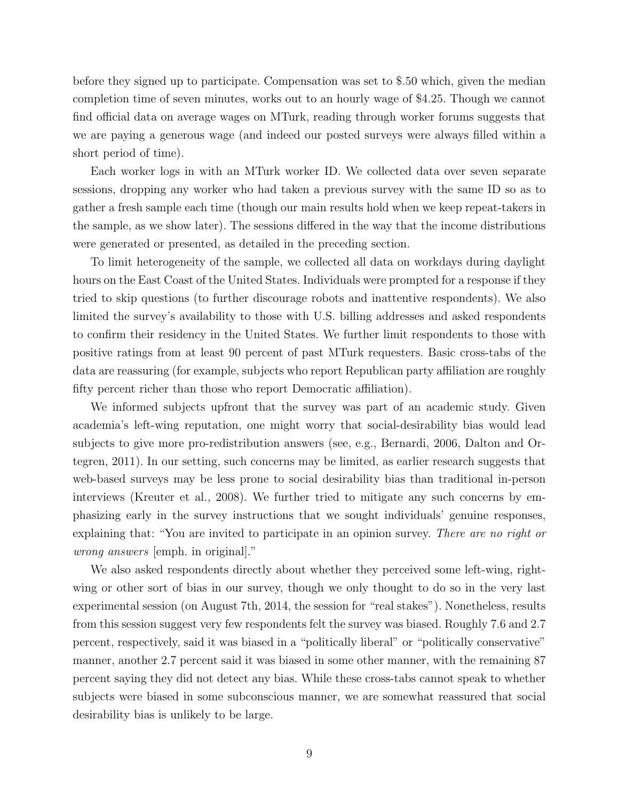before they signed up to participate. Compensation was set to \$.50 which, given the median completion time of seven minutes, works out to an hourly wage of \$4.25. Though we cannot find official data on average wages on MTurk, reading through worker forums suggests that we are paying a generous wage (and indeed our posted surveys were always filled within a short period of time).

Each worker logs in with an MTurk worker ID. We collected data over seven separate sessions, dropping any worker who had taken a previous survey with the same ID so as to gather a fresh sample each time (though our main results hold when we keep repeat-takers in the sample, as we show later). The sessions differed in the way that the income distributions were generated or presented, as detailed in the preceding section.

To limit heterogeneity of the sample, we collected all data on workdays during daylight hours on the East Coast of the United States. Individuals were prompted for a response if they tried to skip questions (to further discourage robots and inattentive respondents). We also limited the survey's availability to those with U.S. billing addresses and asked respondents to confirm their residency in the United States. We further limit respondents to those with positive ratings from at least 90 percent of past MTurk requesters. Basic cross-tabs of the data are reassuring (for example, subjects who report Republican party affiliation are roughly fifty percent richer than those who report Democratic affiliation).

We informed subjects upfront that the survey was part of an academic study. Given academia's left-wing reputation, one might worry that social-desirability bias would lead subjects to give more pro-redistribution answers (see, e.g., Bernardi, 2006, Dalton and Ortegren, 2011). In our setting, such concerns may be limited, as earlier research suggests that web-based surveys may be less prone to social desirability bias than traditional in-person interviews (Kreuter et al., 2008). We further tried to mitigate any such concerns by emphasizing early in the survey instructions that we sought individuals' genuine responses, explaining that: "You are invited to participate in an opinion survey. There are no right or wrong answers [emph. in original]."

We also asked respondents directly about whether they perceived some left-wing, rightwing or other sort of bias in our survey, though we only thought to do so in the very last experimental session (on August 7th, 2014, the session for "real stakes"). Nonetheless, results from this session suggest very few respondents felt the survey was biased. Roughly 7.6 and 2.7 percent, respectively, said it was biased in a "politically liberal" or "politically conservative" manner, another 2.7 percent said it was biased in some other manner, with the remaining 87 percent saying they did not detect any bias. While these cross-tabs cannot speak to whether subjects were biased in some subconscious manner, we are somewhat reassured that social desirability bias is unlikely to be large.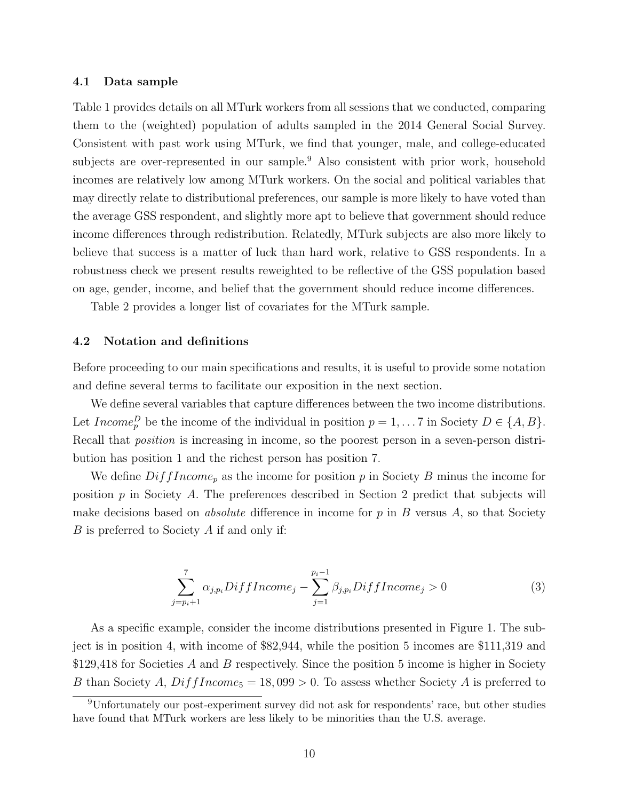#### 4.1 Data sample

Table 1 provides details on all MTurk workers from all sessions that we conducted, comparing them to the (weighted) population of adults sampled in the 2014 General Social Survey. Consistent with past work using MTurk, we find that younger, male, and college-educated subjects are over-represented in our sample.<sup>9</sup> Also consistent with prior work, household incomes are relatively low among MTurk workers. On the social and political variables that may directly relate to distributional preferences, our sample is more likely to have voted than the average GSS respondent, and slightly more apt to believe that government should reduce income differences through redistribution. Relatedly, MTurk subjects are also more likely to believe that success is a matter of luck than hard work, relative to GSS respondents. In a robustness check we present results reweighted to be reflective of the GSS population based on age, gender, income, and belief that the government should reduce income differences.

Table 2 provides a longer list of covariates for the MTurk sample.

#### 4.2 Notation and definitions

Before proceeding to our main specifications and results, it is useful to provide some notation and define several terms to facilitate our exposition in the next section.

We define several variables that capture differences between the two income distributions. Let Income<sub>p</sub> be the income of the individual in position  $p = 1, \ldots 7$  in Society  $D \in \{A, B\}$ . Recall that *position* is increasing in income, so the poorest person in a seven-person distribution has position 1 and the richest person has position 7.

We define  $DiffIncome<sub>p</sub>$  as the income for position p in Society B minus the income for position  $p$  in Society  $A$ . The preferences described in Section 2 predict that subjects will make decisions based on *absolute* difference in income for  $p$  in  $B$  versus  $A$ , so that Society B is preferred to Society A if and only if:

$$
\sum_{j=p_i+1}^{7} \alpha_{j,p_i} DiffHome_j - \sum_{j=1}^{p_i-1} \beta_{j,p_i} DiffHome_j > 0
$$
\n(3)

As a specific example, consider the income distributions presented in Figure 1. The subject is in position 4, with income of \$82,944, while the position 5 incomes are \$111,319 and \$129,418 for Societies A and B respectively. Since the position 5 income is higher in Society B than Society A,  $DiffIncome_5 = 18,099 > 0$ . To assess whether Society A is preferred to

<sup>9</sup>Unfortunately our post-experiment survey did not ask for respondents' race, but other studies have found that MTurk workers are less likely to be minorities than the U.S. average.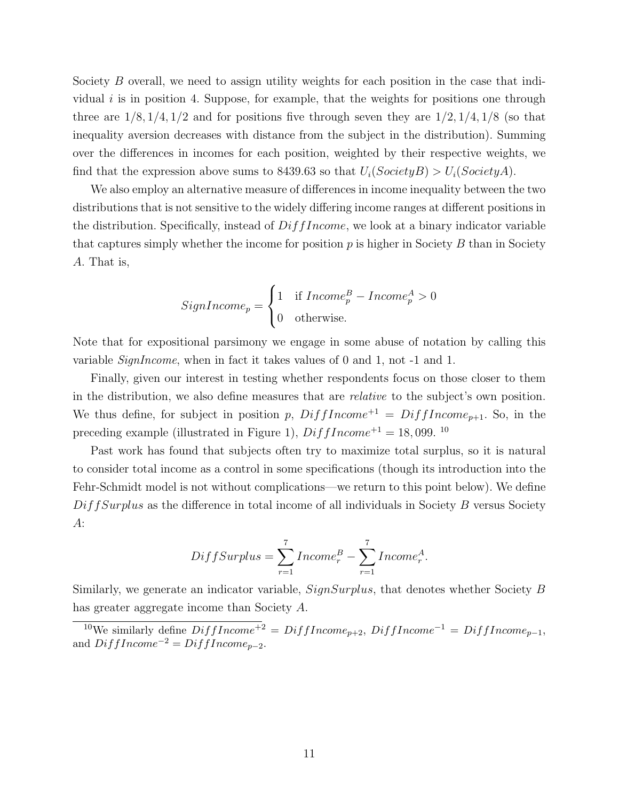Society B overall, we need to assign utility weights for each position in the case that individual  $i$  is in position 4. Suppose, for example, that the weights for positions one through three are  $1/8$ ,  $1/4$ ,  $1/2$  and for positions five through seven they are  $1/2$ ,  $1/4$ ,  $1/8$  (so that inequality aversion decreases with distance from the subject in the distribution). Summing over the differences in incomes for each position, weighted by their respective weights, we find that the expression above sums to 8439.63 so that  $U_i(SocietyB) > U_i(SocietyA)$ .

We also employ an alternative measure of differences in income inequality between the two distributions that is not sensitive to the widely differing income ranges at different positions in the distribution. Specifically, instead of  $DiffIncome$ , we look at a binary indicator variable that captures simply whether the income for position  $p$  is higher in Society  $B$  than in Society A. That is,

$$
SignIncome_p = \begin{cases} 1 & \text{if } Income_p^B - Income_p^A > 0\\ 0 & \text{otherwise.} \end{cases}
$$

Note that for expositional parsimony we engage in some abuse of notation by calling this variable *SignIncome*, when in fact it takes values of 0 and 1, not -1 and 1.

Finally, given our interest in testing whether respondents focus on those closer to them in the distribution, we also define measures that are relative to the subject's own position. We thus define, for subject in position p,  $DiffIncome^{+1} = DiffIncome_{p+1}$ . So, in the preceding example (illustrated in Figure 1),  $DiffIncome^{+1} = 18,099.$ <sup>10</sup>

Past work has found that subjects often try to maximize total surplus, so it is natural to consider total income as a control in some specifications (though its introduction into the Fehr-Schmidt model is not without complications—we return to this point below). We define  $DiffSurplus$  as the difference in total income of all individuals in Society  $B$  versus Society A:

$$
DiffSurplus = \sum_{r=1}^{7} Income_r^B - \sum_{r=1}^{7} Income_r^A.
$$

Similarly, we generate an indicator variable,  $SignSurplus$ , that denotes whether Society B has greater aggregate income than Society A.

<sup>&</sup>lt;sup>10</sup>We similarly define  $DiffIncome^{+2} = DiffIncome_{p+2}$ ,  $DiffIncome^{-1} = DiffIncome_{p-1}$ , and  $DiffIncome^{-2} = DiffIncome_{p-2}$ .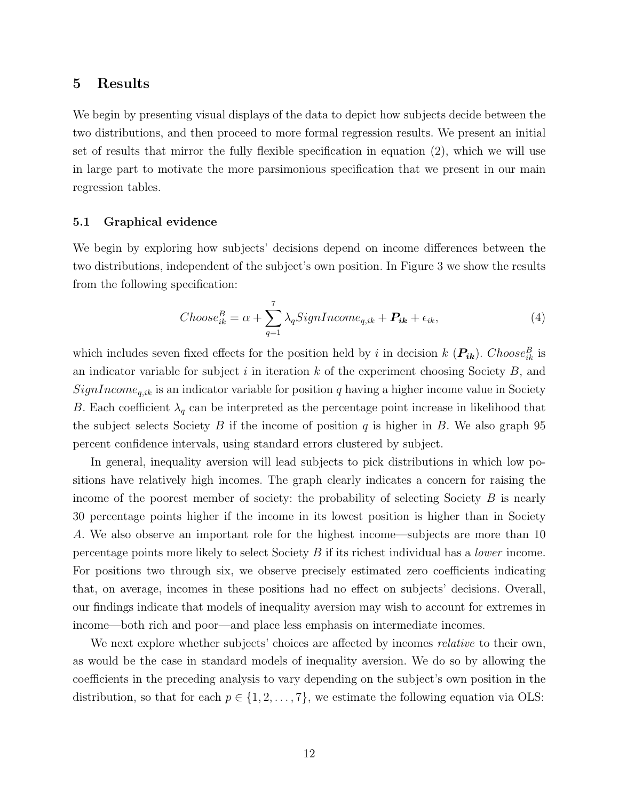## 5 Results

We begin by presenting visual displays of the data to depict how subjects decide between the two distributions, and then proceed to more formal regression results. We present an initial set of results that mirror the fully flexible specification in equation  $(2)$ , which we will use in large part to motivate the more parsimonious specification that we present in our main regression tables.

## 5.1 Graphical evidence

We begin by exploring how subjects' decisions depend on income differences between the two distributions, independent of the subject's own position. In Figure 3 we show the results from the following specification:

$$
Choose_{ik}^B = \alpha + \sum_{q=1}^7 \lambda_q Sign Income_{q,ik} + P_{ik} + \epsilon_{ik}, \tag{4}
$$

which includes seven fixed effects for the position held by i in decision  $k(\mathbf{P}_{ik})$ . Choose<sup>B</sup><sub>ik</sub> is an indicator variable for subject  $i$  in iteration  $k$  of the experiment choosing Society  $B$ , and  $Sign Income_{q,ik}$  is an indicator variable for position q having a higher income value in Society B. Each coefficient  $\lambda_q$  can be interpreted as the percentage point increase in likelihood that the subject selects Society B if the income of position q is higher in B. We also graph 95 percent confidence intervals, using standard errors clustered by subject.

In general, inequality aversion will lead subjects to pick distributions in which low positions have relatively high incomes. The graph clearly indicates a concern for raising the income of the poorest member of society: the probability of selecting Society B is nearly 30 percentage points higher if the income in its lowest position is higher than in Society A. We also observe an important role for the highest income—subjects are more than 10 percentage points more likely to select Society  $B$  if its richest individual has a *lower* income. For positions two through six, we observe precisely estimated zero coefficients indicating that, on average, incomes in these positions had no effect on subjects' decisions. Overall, our findings indicate that models of inequality aversion may wish to account for extremes in income—both rich and poor—and place less emphasis on intermediate incomes.

We next explore whether subjects' choices are affected by incomes *relative* to their own, as would be the case in standard models of inequality aversion. We do so by allowing the coefficients in the preceding analysis to vary depending on the subject's own position in the distribution, so that for each  $p \in \{1, 2, ..., 7\}$ , we estimate the following equation via OLS: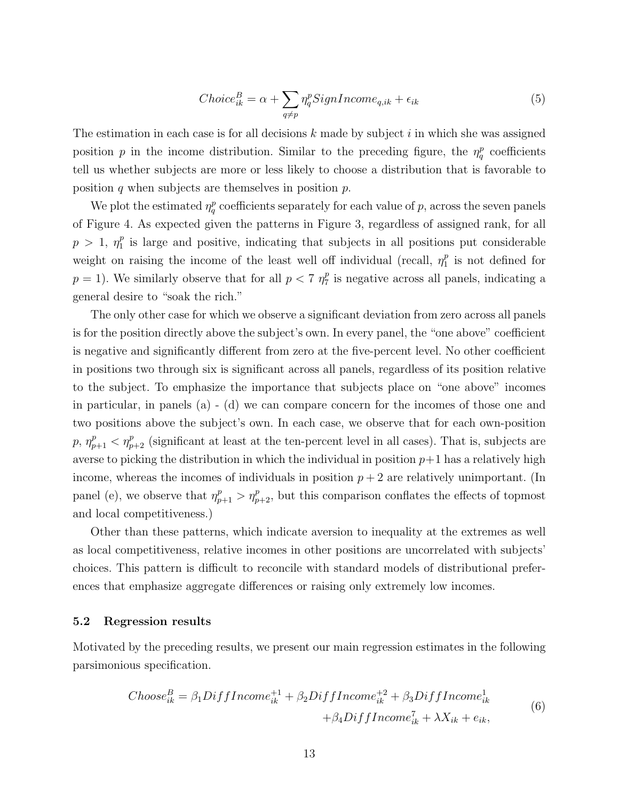$$
Choice_{ik}^{B} = \alpha + \sum_{q \neq p} \eta_q^p Sign Income_{q,ik} + \epsilon_{ik}
$$
\n
$$
\tag{5}
$$

The estimation in each case is for all decisions  $k$  made by subject i in which she was assigned position p in the income distribution. Similar to the preceding figure, the  $\eta_q^p$  coefficients tell us whether subjects are more or less likely to choose a distribution that is favorable to position  $q$  when subjects are themselves in position  $p$ .

We plot the estimated  $\eta_q^p$  coefficients separately for each value of p, across the seven panels of Figure 4. As expected given the patterns in Figure 3, regardless of assigned rank, for all  $p > 1, \eta_1^p$  $_1^p$  is large and positive, indicating that subjects in all positions put considerable weight on raising the income of the least well off individual (recall,  $\eta_1^p$  $_1^p$  is not defined for  $p = 1$ ). We similarly observe that for all  $p < 7 \eta_7^p$  $\frac{p}{7}$  is negative across all panels, indicating a general desire to "soak the rich."

The only other case for which we observe a significant deviation from zero across all panels is for the position directly above the subject's own. In every panel, the "one above" coefficient is negative and significantly different from zero at the five-percent level. No other coefficient in positions two through six is significant across all panels, regardless of its position relative to the subject. To emphasize the importance that subjects place on "one above" incomes in particular, in panels (a) - (d) we can compare concern for the incomes of those one and two positions above the subject's own. In each case, we observe that for each own-position  $p, \eta_{p+1}^p < \eta_{p+2}^p$  (significant at least at the ten-percent level in all cases). That is, subjects are averse to picking the distribution in which the individual in position  $p+1$  has a relatively high income, whereas the incomes of individuals in position  $p + 2$  are relatively unimportant. (In panel (e), we observe that  $\eta_{p+1}^p > \eta_{p+2}^p$ , but this comparison conflates the effects of topmost and local competitiveness.)

Other than these patterns, which indicate aversion to inequality at the extremes as well as local competitiveness, relative incomes in other positions are uncorrelated with subjects' choices. This pattern is difficult to reconcile with standard models of distributional preferences that emphasize aggregate differences or raising only extremely low incomes.

### 5.2 Regression results

Motivated by the preceding results, we present our main regression estimates in the following parsimonious specification.

$$
Choose_{ik}^B = \beta_1 DiffIncome_{ik}^{+1} + \beta_2 DiffIncome_{ik}^{+2} + \beta_3 DiffIncome_{ik}^1 + \beta_4 DiffIncome_{ik}^7 + \lambda X_{ik} + e_{ik},
$$
\n
$$
(6)
$$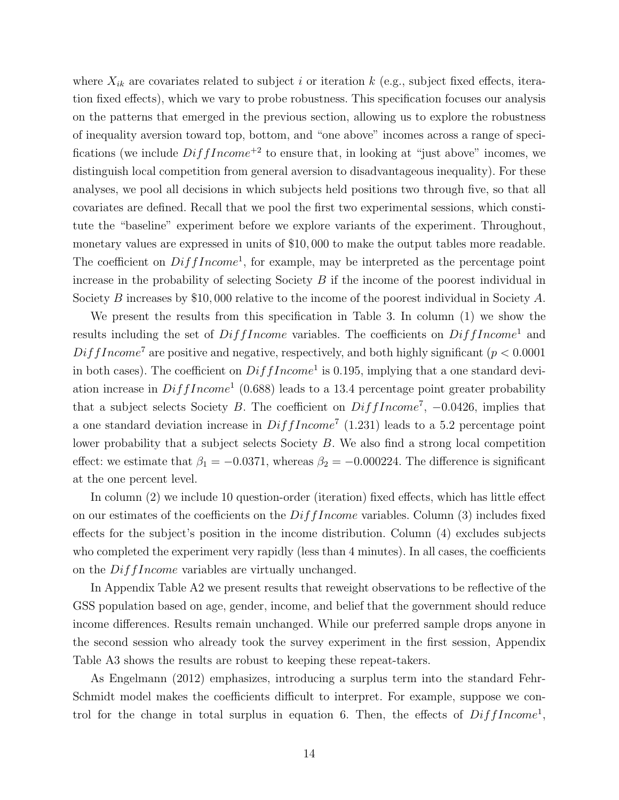where  $X_{ik}$  are covariates related to subject i or iteration k (e.g., subject fixed effects, iteration fixed effects), which we vary to probe robustness. This specification focuses our analysis on the patterns that emerged in the previous section, allowing us to explore the robustness of inequality aversion toward top, bottom, and "one above" incomes across a range of specifications (we include  $DiffIncome^{+2}$  to ensure that, in looking at "just above" incomes, we distinguish local competition from general aversion to disadvantageous inequality). For these analyses, we pool all decisions in which subjects held positions two through five, so that all covariates are defined. Recall that we pool the first two experimental sessions, which constitute the "baseline" experiment before we explore variants of the experiment. Throughout, monetary values are expressed in units of \$10, 000 to make the output tables more readable. The coefficient on  $DiffIncome<sup>1</sup>$ , for example, may be interpreted as the percentage point increase in the probability of selecting Society  $B$  if the income of the poorest individual in Society B increases by \$10,000 relative to the income of the poorest individual in Society A.

We present the results from this specification in Table 3. In column (1) we show the results including the set of  $DiffIncome$  variables. The coefficients on  $DiffIncome<sup>1</sup>$  and  $DiffIncome<sup>7</sup>$  are positive and negative, respectively, and both highly significant ( $p < 0.0001$ ) in both cases). The coefficient on  $DiffIncome<sup>1</sup>$  is 0.195, implying that a one standard deviation increase in  $DiffIncome<sup>1</sup>$  (0.688) leads to a 13.4 percentage point greater probability that a subject selects Society B. The coefficient on  $DiffIncome^7, -0.0426$ , implies that a one standard deviation increase in  $DiffIncome<sup>7</sup>$  (1.231) leads to a 5.2 percentage point lower probability that a subject selects Society B. We also find a strong local competition effect: we estimate that  $\beta_1 = -0.0371$ , whereas  $\beta_2 = -0.000224$ . The difference is significant at the one percent level.

In column (2) we include 10 question-order (iteration) fixed effects, which has little effect on our estimates of the coefficients on the  $DiffIncome$  variables. Column (3) includes fixed effects for the subject's position in the income distribution. Column (4) excludes subjects who completed the experiment very rapidly (less than 4 minutes). In all cases, the coefficients on the DiffIncome variables are virtually unchanged.

In Appendix Table A2 we present results that reweight observations to be reflective of the GSS population based on age, gender, income, and belief that the government should reduce income differences. Results remain unchanged. While our preferred sample drops anyone in the second session who already took the survey experiment in the first session, Appendix Table A3 shows the results are robust to keeping these repeat-takers.

As Engelmann (2012) emphasizes, introducing a surplus term into the standard Fehr-Schmidt model makes the coefficients difficult to interpret. For example, suppose we control for the change in total surplus in equation 6. Then, the effects of  $DiffIncome<sup>1</sup>$ ,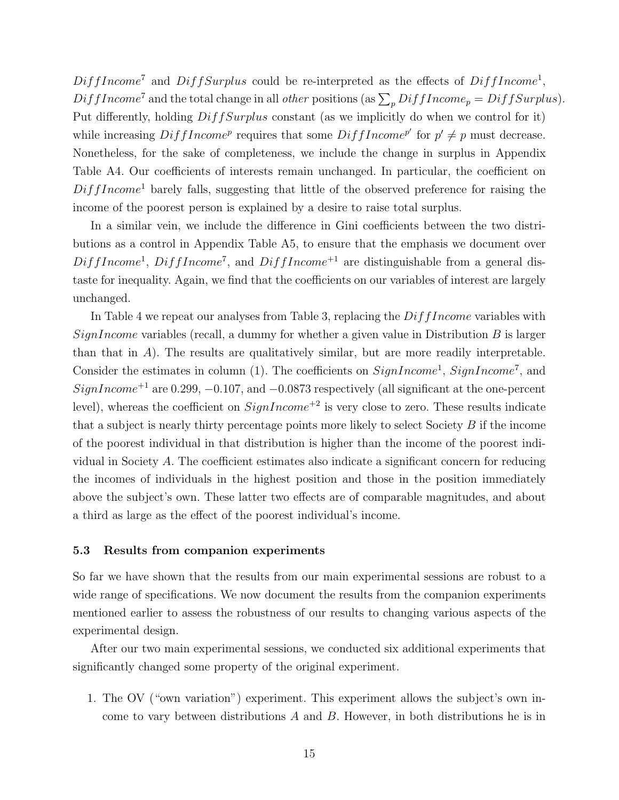$DiffIncome<sup>7</sup>$  and  $DiffSurplus$  could be re-interpreted as the effects of  $DiffIncome<sup>1</sup>$ ,  $DiffIncome<sup>7</sup>$  and the total change in all *other* positions (as  $\sum_{p} DiffIncome_{p} = DiffSurplus).$ Put differently, holding  $DiffSurplus$  constant (as we implicitly do when we control for it) while increasing  $DiffIncome^p$  requires that some  $DiffIncome^{p'}$  for  $p' \neq p$  must decrease. Nonetheless, for the sake of completeness, we include the change in surplus in Appendix Table A4. Our coefficients of interests remain unchanged. In particular, the coefficient on  $DiffIncome<sup>1</sup>$  barely falls, suggesting that little of the observed preference for raising the income of the poorest person is explained by a desire to raise total surplus.

In a similar vein, we include the difference in Gini coefficients between the two distributions as a control in Appendix Table A5, to ensure that the emphasis we document over  $DiffIncome<sup>1</sup>, DiffIncome<sup>7</sup>, and DiffIncome<sup>1</sup> are distinguishable from a general dis$ taste for inequality. Again, we find that the coefficients on our variables of interest are largely unchanged.

In Table 4 we repeat our analyses from Table 3, replacing the  $DiffIncome$  variables with  $Sign Income$  variables (recall, a dummy for whether a given value in Distribution  $B$  is larger than that in  $A$ ). The results are qualitatively similar, but are more readily interpretable. Consider the estimates in column (1). The coefficients on  $Sign Income<sup>1</sup>$ ,  $Sign Income<sup>7</sup>$ , and  $Sign Income^{+1}$  are 0.299, -0.107, and -0.0873 respectively (all significant at the one-percent level), whereas the coefficient on  $SignIncome^{+2}$  is very close to zero. These results indicate that a subject is nearly thirty percentage points more likely to select Society  $B$  if the income of the poorest individual in that distribution is higher than the income of the poorest individual in Society A. The coefficient estimates also indicate a significant concern for reducing the incomes of individuals in the highest position and those in the position immediately above the subject's own. These latter two effects are of comparable magnitudes, and about a third as large as the effect of the poorest individual's income.

#### 5.3 Results from companion experiments

So far we have shown that the results from our main experimental sessions are robust to a wide range of specifications. We now document the results from the companion experiments mentioned earlier to assess the robustness of our results to changing various aspects of the experimental design.

After our two main experimental sessions, we conducted six additional experiments that significantly changed some property of the original experiment.

1. The OV ("own variation") experiment. This experiment allows the subject's own income to vary between distributions  $A$  and  $B$ . However, in both distributions he is in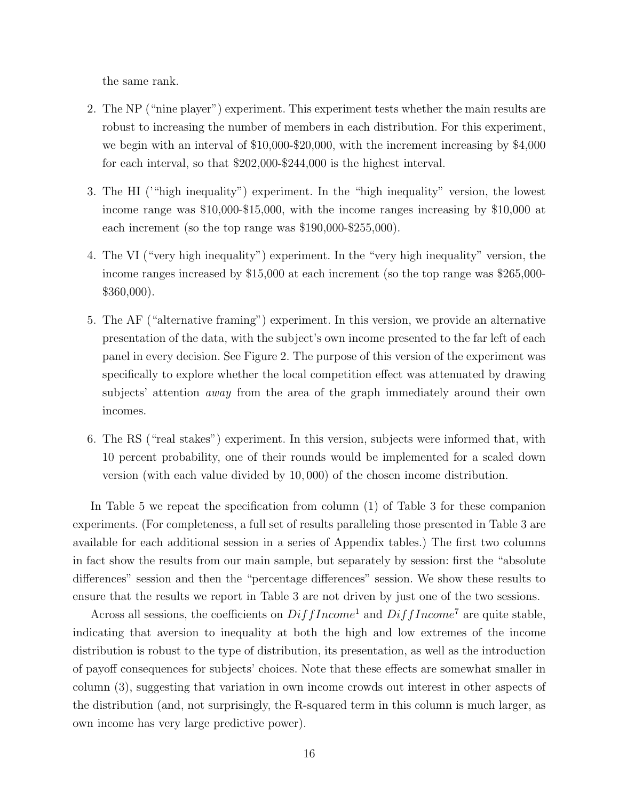the same rank.

- 2. The NP ("nine player") experiment. This experiment tests whether the main results are robust to increasing the number of members in each distribution. For this experiment, we begin with an interval of \$10,000-\$20,000, with the increment increasing by \$4,000 for each interval, so that \$202,000-\$244,000 is the highest interval.
- 3. The HI ('"high inequality") experiment. In the "high inequality" version, the lowest income range was \$10,000-\$15,000, with the income ranges increasing by \$10,000 at each increment (so the top range was \$190,000-\$255,000).
- 4. The VI ("very high inequality") experiment. In the "very high inequality" version, the income ranges increased by \$15,000 at each increment (so the top range was \$265,000- \$360,000).
- 5. The AF ("alternative framing") experiment. In this version, we provide an alternative presentation of the data, with the subject's own income presented to the far left of each panel in every decision. See Figure 2. The purpose of this version of the experiment was specifically to explore whether the local competition effect was attenuated by drawing subjects' attention away from the area of the graph immediately around their own incomes.
- 6. The RS ("real stakes") experiment. In this version, subjects were informed that, with 10 percent probability, one of their rounds would be implemented for a scaled down version (with each value divided by 10, 000) of the chosen income distribution.

In Table 5 we repeat the specification from column (1) of Table 3 for these companion experiments. (For completeness, a full set of results paralleling those presented in Table 3 are available for each additional session in a series of Appendix tables.) The first two columns in fact show the results from our main sample, but separately by session: first the "absolute differences" session and then the "percentage differences" session. We show these results to ensure that the results we report in Table 3 are not driven by just one of the two sessions.

Across all sessions, the coefficients on  $DiffIncome<sup>1</sup>$  and  $DiffIncome<sup>7</sup>$  are quite stable, indicating that aversion to inequality at both the high and low extremes of the income distribution is robust to the type of distribution, its presentation, as well as the introduction of payoff consequences for subjects' choices. Note that these effects are somewhat smaller in column (3), suggesting that variation in own income crowds out interest in other aspects of the distribution (and, not surprisingly, the R-squared term in this column is much larger, as own income has very large predictive power).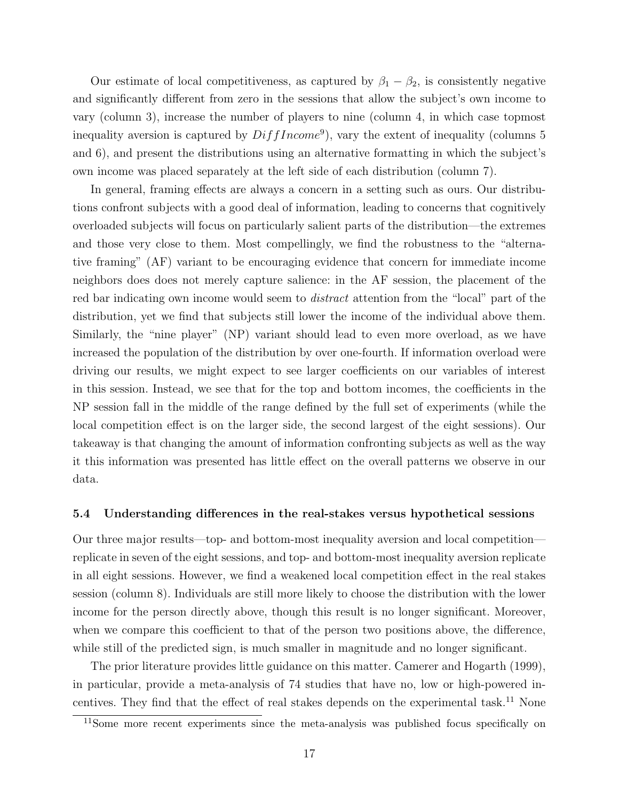Our estimate of local competitiveness, as captured by  $\beta_1 - \beta_2$ , is consistently negative and significantly different from zero in the sessions that allow the subject's own income to vary (column 3), increase the number of players to nine (column 4, in which case topmost inequality aversion is captured by  $DiffIncome<sup>9</sup>)$ , vary the extent of inequality (columns 5 and 6), and present the distributions using an alternative formatting in which the subject's own income was placed separately at the left side of each distribution (column 7).

In general, framing effects are always a concern in a setting such as ours. Our distributions confront subjects with a good deal of information, leading to concerns that cognitively overloaded subjects will focus on particularly salient parts of the distribution—the extremes and those very close to them. Most compellingly, we find the robustness to the "alternative framing" (AF) variant to be encouraging evidence that concern for immediate income neighbors does does not merely capture salience: in the AF session, the placement of the red bar indicating own income would seem to distract attention from the "local" part of the distribution, yet we find that subjects still lower the income of the individual above them. Similarly, the "nine player" (NP) variant should lead to even more overload, as we have increased the population of the distribution by over one-fourth. If information overload were driving our results, we might expect to see larger coefficients on our variables of interest in this session. Instead, we see that for the top and bottom incomes, the coefficients in the NP session fall in the middle of the range defined by the full set of experiments (while the local competition effect is on the larger side, the second largest of the eight sessions). Our takeaway is that changing the amount of information confronting subjects as well as the way it this information was presented has little effect on the overall patterns we observe in our data.

#### 5.4 Understanding differences in the real-stakes versus hypothetical sessions

Our three major results—top- and bottom-most inequality aversion and local competition replicate in seven of the eight sessions, and top- and bottom-most inequality aversion replicate in all eight sessions. However, we find a weakened local competition effect in the real stakes session (column 8). Individuals are still more likely to choose the distribution with the lower income for the person directly above, though this result is no longer significant. Moreover, when we compare this coefficient to that of the person two positions above, the difference, while still of the predicted sign, is much smaller in magnitude and no longer significant.

The prior literature provides little guidance on this matter. Camerer and Hogarth (1999), in particular, provide a meta-analysis of 74 studies that have no, low or high-powered incentives. They find that the effect of real stakes depends on the experimental task.<sup>11</sup> None

<sup>11</sup>Some more recent experiments since the meta-analysis was published focus specifically on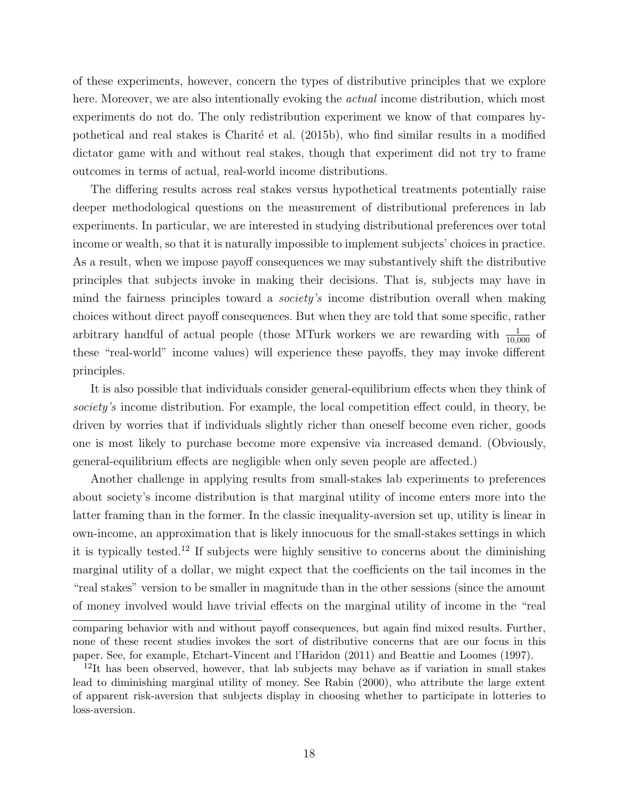of these experiments, however, concern the types of distributive principles that we explore here. Moreover, we are also intentionally evoking the *actual* income distribution, which most experiments do not do. The only redistribution experiment we know of that compares hypothetical and real stakes is Charité et al. (2015b), who find similar results in a modified dictator game with and without real stakes, though that experiment did not try to frame outcomes in terms of actual, real-world income distributions.

The differing results across real stakes versus hypothetical treatments potentially raise deeper methodological questions on the measurement of distributional preferences in lab experiments. In particular, we are interested in studying distributional preferences over total income or wealth, so that it is naturally impossible to implement subjects' choices in practice. As a result, when we impose payoff consequences we may substantively shift the distributive principles that subjects invoke in making their decisions. That is, subjects may have in mind the fairness principles toward a *society's* income distribution overall when making choices without direct payoff consequences. But when they are told that some specific, rather arbitrary handful of actual people (those MTurk workers we are rewarding with  $\frac{1}{10,000}$  of these "real-world" income values) will experience these payoffs, they may invoke different principles.

It is also possible that individuals consider general-equilibrium effects when they think of society's income distribution. For example, the local competition effect could, in theory, be driven by worries that if individuals slightly richer than oneself become even richer, goods one is most likely to purchase become more expensive via increased demand. (Obviously, general-equilibrium effects are negligible when only seven people are affected.)

Another challenge in applying results from small-stakes lab experiments to preferences about society's income distribution is that marginal utility of income enters more into the latter framing than in the former. In the classic inequality-aversion set up, utility is linear in own-income, an approximation that is likely innocuous for the small-stakes settings in which it is typically tested.<sup>12</sup> If subjects were highly sensitive to concerns about the diminishing marginal utility of a dollar, we might expect that the coefficients on the tail incomes in the "real stakes" version to be smaller in magnitude than in the other sessions (since the amount of money involved would have trivial effects on the marginal utility of income in the "real

comparing behavior with and without payoff consequences, but again find mixed results. Further, none of these recent studies invokes the sort of distributive concerns that are our focus in this paper. See, for example, Etchart-Vincent and l'Haridon (2011) and Beattie and Loomes (1997).

 $^{12}$ It has been observed, however, that lab subjects may behave as if variation in small stakes lead to diminishing marginal utility of money. See Rabin (2000), who attribute the large extent of apparent risk-aversion that subjects display in choosing whether to participate in lotteries to loss-aversion.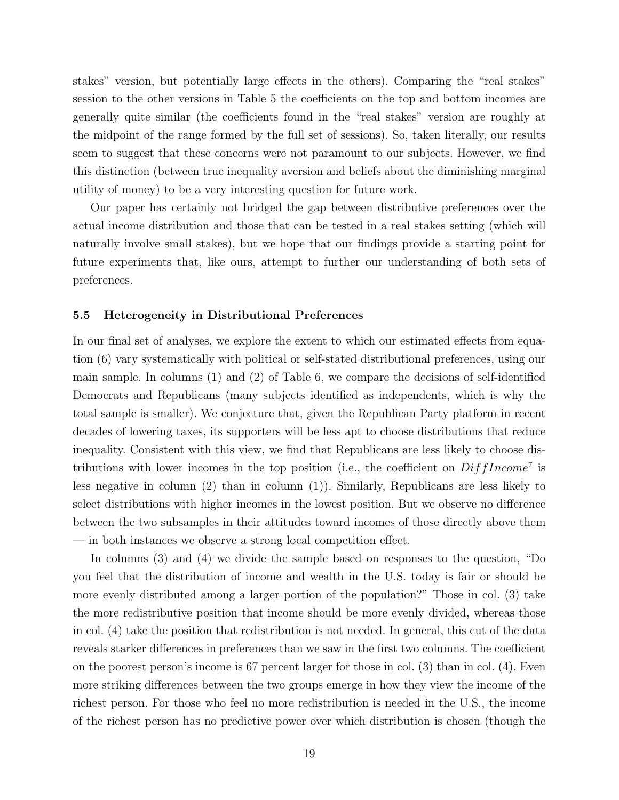stakes" version, but potentially large effects in the others). Comparing the "real stakes" session to the other versions in Table 5 the coefficients on the top and bottom incomes are generally quite similar (the coefficients found in the "real stakes" version are roughly at the midpoint of the range formed by the full set of sessions). So, taken literally, our results seem to suggest that these concerns were not paramount to our subjects. However, we find this distinction (between true inequality aversion and beliefs about the diminishing marginal utility of money) to be a very interesting question for future work.

Our paper has certainly not bridged the gap between distributive preferences over the actual income distribution and those that can be tested in a real stakes setting (which will naturally involve small stakes), but we hope that our findings provide a starting point for future experiments that, like ours, attempt to further our understanding of both sets of preferences.

#### 5.5 Heterogeneity in Distributional Preferences

In our final set of analyses, we explore the extent to which our estimated effects from equation (6) vary systematically with political or self-stated distributional preferences, using our main sample. In columns (1) and (2) of Table 6, we compare the decisions of self-identified Democrats and Republicans (many subjects identified as independents, which is why the total sample is smaller). We conjecture that, given the Republican Party platform in recent decades of lowering taxes, its supporters will be less apt to choose distributions that reduce inequality. Consistent with this view, we find that Republicans are less likely to choose distributions with lower incomes in the top position (i.e., the coefficient on  $DiffIncome<sup>7</sup>$  is less negative in column (2) than in column (1)). Similarly, Republicans are less likely to select distributions with higher incomes in the lowest position. But we observe no difference between the two subsamples in their attitudes toward incomes of those directly above them — in both instances we observe a strong local competition effect.

In columns (3) and (4) we divide the sample based on responses to the question, "Do you feel that the distribution of income and wealth in the U.S. today is fair or should be more evenly distributed among a larger portion of the population?" Those in col. (3) take the more redistributive position that income should be more evenly divided, whereas those in col. (4) take the position that redistribution is not needed. In general, this cut of the data reveals starker differences in preferences than we saw in the first two columns. The coefficient on the poorest person's income is 67 percent larger for those in col. (3) than in col. (4). Even more striking differences between the two groups emerge in how they view the income of the richest person. For those who feel no more redistribution is needed in the U.S., the income of the richest person has no predictive power over which distribution is chosen (though the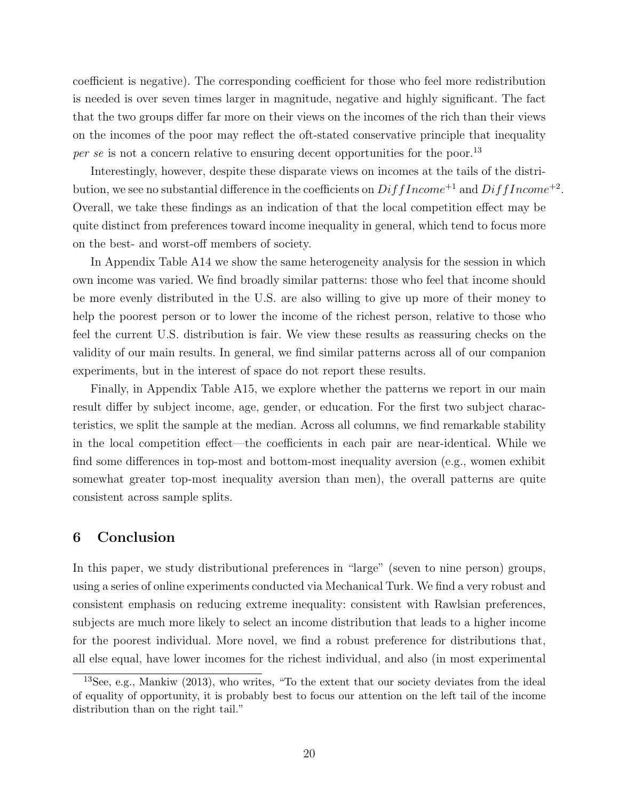coefficient is negative). The corresponding coefficient for those who feel more redistribution is needed is over seven times larger in magnitude, negative and highly significant. The fact that the two groups differ far more on their views on the incomes of the rich than their views on the incomes of the poor may reflect the oft-stated conservative principle that inequality per se is not a concern relative to ensuring decent opportunities for the poor.<sup>13</sup>

Interestingly, however, despite these disparate views on incomes at the tails of the distribution, we see no substantial difference in the coefficients on  $DiffIncome^{+1}$  and  $DiffIncome^{+2}$ . Overall, we take these findings as an indication of that the local competition effect may be quite distinct from preferences toward income inequality in general, which tend to focus more on the best- and worst-off members of society.

In Appendix Table A14 we show the same heterogeneity analysis for the session in which own income was varied. We find broadly similar patterns: those who feel that income should be more evenly distributed in the U.S. are also willing to give up more of their money to help the poorest person or to lower the income of the richest person, relative to those who feel the current U.S. distribution is fair. We view these results as reassuring checks on the validity of our main results. In general, we find similar patterns across all of our companion experiments, but in the interest of space do not report these results.

Finally, in Appendix Table A15, we explore whether the patterns we report in our main result differ by subject income, age, gender, or education. For the first two subject characteristics, we split the sample at the median. Across all columns, we find remarkable stability in the local competition effect—the coefficients in each pair are near-identical. While we find some differences in top-most and bottom-most inequality aversion (e.g., women exhibit somewhat greater top-most inequality aversion than men), the overall patterns are quite consistent across sample splits.

## 6 Conclusion

In this paper, we study distributional preferences in "large" (seven to nine person) groups, using a series of online experiments conducted via Mechanical Turk. We find a very robust and consistent emphasis on reducing extreme inequality: consistent with Rawlsian preferences, subjects are much more likely to select an income distribution that leads to a higher income for the poorest individual. More novel, we find a robust preference for distributions that, all else equal, have lower incomes for the richest individual, and also (in most experimental

<sup>13</sup>See, e.g., Mankiw (2013), who writes, "To the extent that our society deviates from the ideal of equality of opportunity, it is probably best to focus our attention on the left tail of the income distribution than on the right tail."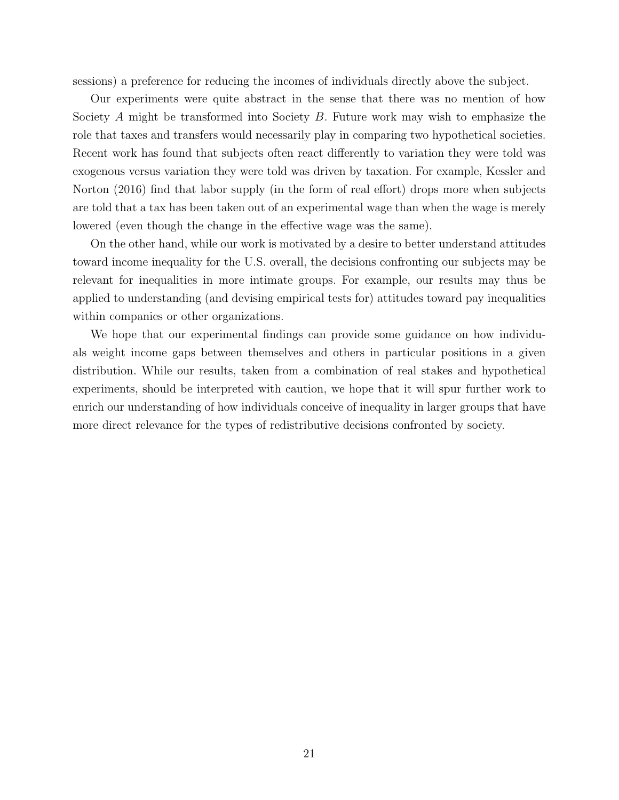sessions) a preference for reducing the incomes of individuals directly above the subject.

Our experiments were quite abstract in the sense that there was no mention of how Society A might be transformed into Society B. Future work may wish to emphasize the role that taxes and transfers would necessarily play in comparing two hypothetical societies. Recent work has found that subjects often react differently to variation they were told was exogenous versus variation they were told was driven by taxation. For example, Kessler and Norton (2016) find that labor supply (in the form of real effort) drops more when subjects are told that a tax has been taken out of an experimental wage than when the wage is merely lowered (even though the change in the effective wage was the same).

On the other hand, while our work is motivated by a desire to better understand attitudes toward income inequality for the U.S. overall, the decisions confronting our subjects may be relevant for inequalities in more intimate groups. For example, our results may thus be applied to understanding (and devising empirical tests for) attitudes toward pay inequalities within companies or other organizations.

We hope that our experimental findings can provide some guidance on how individuals weight income gaps between themselves and others in particular positions in a given distribution. While our results, taken from a combination of real stakes and hypothetical experiments, should be interpreted with caution, we hope that it will spur further work to enrich our understanding of how individuals conceive of inequality in larger groups that have more direct relevance for the types of redistributive decisions confronted by society.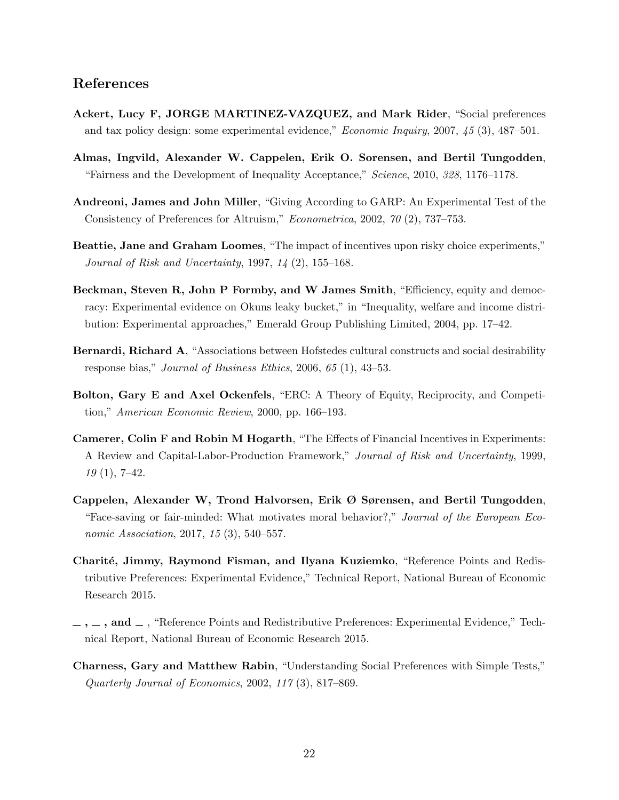## References

- Ackert, Lucy F, JORGE MARTINEZ-VAZQUEZ, and Mark Rider, "Social preferences and tax policy design: some experimental evidence," Economic Inquiry, 2007, 45 (3), 487–501.
- Almas, Ingvild, Alexander W. Cappelen, Erik O. Sorensen, and Bertil Tungodden, "Fairness and the Development of Inequality Acceptance," Science, 2010, 328, 1176–1178.
- Andreoni, James and John Miller, "Giving According to GARP: An Experimental Test of the Consistency of Preferences for Altruism," Econometrica, 2002, 70 (2), 737–753.
- Beattie, Jane and Graham Loomes, "The impact of incentives upon risky choice experiments," Journal of Risk and Uncertainty, 1997, 14 (2), 155–168.
- Beckman, Steven R, John P Formby, and W James Smith, "Efficiency, equity and democracy: Experimental evidence on Okuns leaky bucket," in "Inequality, welfare and income distribution: Experimental approaches," Emerald Group Publishing Limited, 2004, pp. 17–42.
- Bernardi, Richard A, "Associations between Hofstedes cultural constructs and social desirability response bias," Journal of Business Ethics, 2006, 65 (1), 43–53.
- Bolton, Gary E and Axel Ockenfels, "ERC: A Theory of Equity, Reciprocity, and Competition," American Economic Review, 2000, pp. 166–193.
- Camerer, Colin F and Robin M Hogarth, "The Effects of Financial Incentives in Experiments: A Review and Capital-Labor-Production Framework," Journal of Risk and Uncertainty, 1999,  $19(1), 7-42.$
- Cappelen, Alexander W, Trond Halvorsen, Erik Ø Sørensen, and Bertil Tungodden, "Face-saving or fair-minded: What motivates moral behavior?," Journal of the European Economic Association, 2017, 15 (3), 540–557.
- Charité, Jimmy, Raymond Fisman, and Ilyana Kuziemko, "Reference Points and Redistributive Preferences: Experimental Evidence," Technical Report, National Bureau of Economic Research 2015.
- $, \ldots, \ldots$ , and  $\ldots$ , "Reference Points and Redistributive Preferences: Experimental Evidence," Technical Report, National Bureau of Economic Research 2015.
- Charness, Gary and Matthew Rabin, "Understanding Social Preferences with Simple Tests," Quarterly Journal of Economics, 2002, 117 (3), 817–869.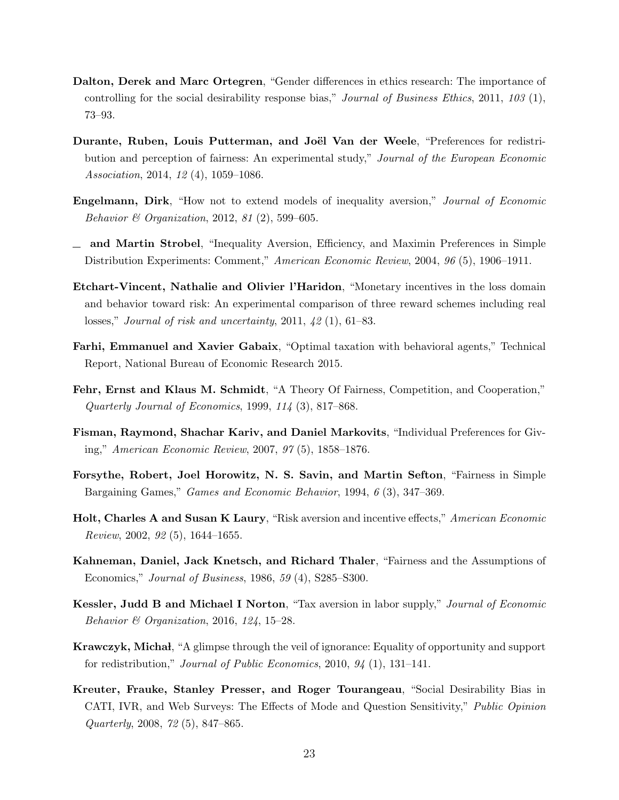- Dalton, Derek and Marc Ortegren, "Gender differences in ethics research: The importance of controlling for the social desirability response bias," Journal of Business Ethics, 2011, 103 (1), 73–93.
- Durante, Ruben, Louis Putterman, and Joël Van der Weele, "Preferences for redistribution and perception of fairness: An experimental study," Journal of the European Economic Association, 2014, 12 (4), 1059–1086.
- Engelmann, Dirk, "How not to extend models of inequality aversion," Journal of Economic Behavior & Organization, 2012, 81 (2), 599–605.
- and Martin Strobel, "Inequality Aversion, Efficiency, and Maximin Preferences in Simple Distribution Experiments: Comment," American Economic Review, 2004, 96 (5), 1906–1911.
- Etchart-Vincent, Nathalie and Olivier l'Haridon, "Monetary incentives in the loss domain and behavior toward risk: An experimental comparison of three reward schemes including real losses," Journal of risk and uncertainty,  $2011, 42(1), 61-83$ .
- Farhi, Emmanuel and Xavier Gabaix, "Optimal taxation with behavioral agents," Technical Report, National Bureau of Economic Research 2015.
- Fehr, Ernst and Klaus M. Schmidt, "A Theory Of Fairness, Competition, and Cooperation," Quarterly Journal of Economics, 1999, 114 (3), 817–868.
- Fisman, Raymond, Shachar Kariv, and Daniel Markovits, "Individual Preferences for Giving," American Economic Review, 2007, 97 (5), 1858–1876.
- Forsythe, Robert, Joel Horowitz, N. S. Savin, and Martin Sefton, "Fairness in Simple Bargaining Games," Games and Economic Behavior, 1994, 6 (3), 347–369.
- Holt, Charles A and Susan K Laury, "Risk aversion and incentive effects," American Economic Review, 2002, 92 (5), 1644–1655.
- Kahneman, Daniel, Jack Knetsch, and Richard Thaler, "Fairness and the Assumptions of Economics," Journal of Business, 1986, 59 (4), S285–S300.
- Kessler, Judd B and Michael I Norton, "Tax aversion in labor supply," Journal of Economic Behavior & Organization, 2016, 124, 15-28.
- **Krawczyk, Michał**, "A glimpse through the veil of ignorance: Equality of opportunity and support for redistribution," Journal of Public Economics, 2010, 94 (1), 131–141.
- Kreuter, Frauke, Stanley Presser, and Roger Tourangeau, "Social Desirability Bias in CATI, IVR, and Web Surveys: The Effects of Mode and Question Sensitivity," Public Opinion Quarterly, 2008, 72 (5), 847–865.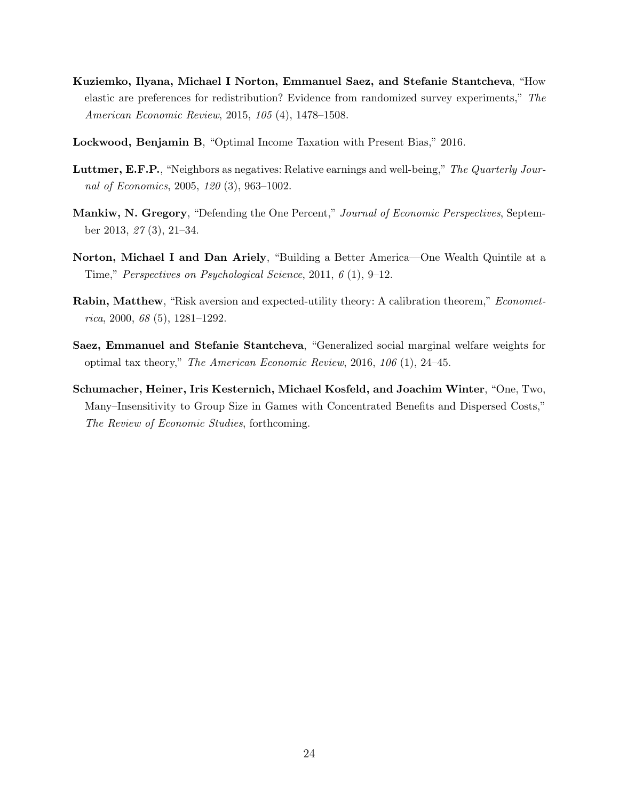- Kuziemko, Ilyana, Michael I Norton, Emmanuel Saez, and Stefanie Stantcheva, "How elastic are preferences for redistribution? Evidence from randomized survey experiments," The American Economic Review, 2015, 105 (4), 1478–1508.
- Lockwood, Benjamin B, "Optimal Income Taxation with Present Bias," 2016.
- Luttmer, E.F.P., "Neighbors as negatives: Relative earnings and well-being," The Quarterly Journal of Economics, 2005, 120 (3), 963–1002.
- Mankiw, N. Gregory, "Defending the One Percent," Journal of Economic Perspectives, September 2013, 27 (3), 21–34.
- Norton, Michael I and Dan Ariely, "Building a Better America—One Wealth Quintile at a Time," Perspectives on Psychological Science, 2011, 6 (1), 9–12.
- Rabin, Matthew, "Risk aversion and expected-utility theory: A calibration theorem," Econometrica, 2000, 68 (5), 1281–1292.
- Saez, Emmanuel and Stefanie Stantcheva, "Generalized social marginal welfare weights for optimal tax theory," The American Economic Review, 2016, 106 (1), 24–45.
- Schumacher, Heiner, Iris Kesternich, Michael Kosfeld, and Joachim Winter, "One, Two, Many–Insensitivity to Group Size in Games with Concentrated Benefits and Dispersed Costs," The Review of Economic Studies, forthcoming.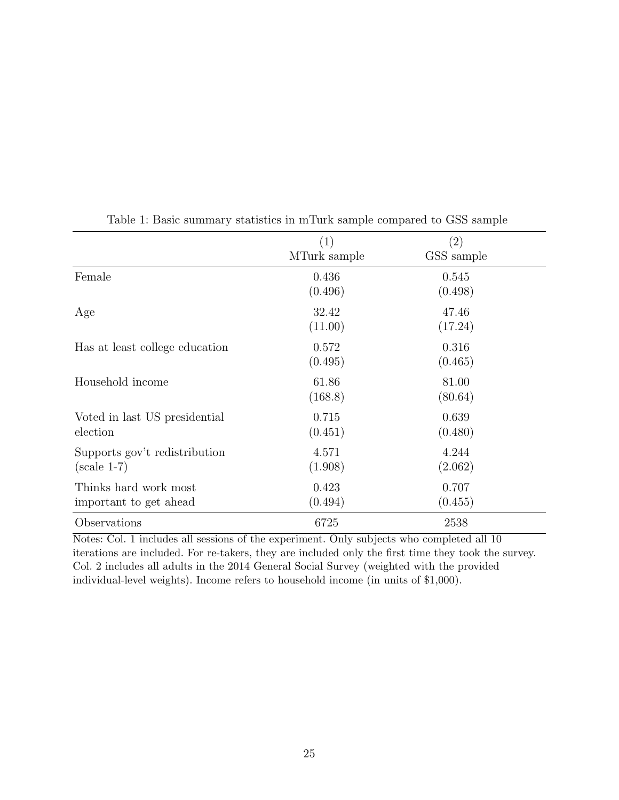|                                                        | (1)<br>MTurk sample | (2)<br>GSS sample |  |
|--------------------------------------------------------|---------------------|-------------------|--|
| Female                                                 | 0.436<br>(0.496)    | 0.545<br>(0.498)  |  |
| Age                                                    | 32.42<br>(11.00)    | 47.46<br>(17.24)  |  |
| Has at least college education                         | 0.572<br>(0.495)    | 0.316<br>(0.465)  |  |
| Household income                                       | 61.86<br>(168.8)    | 81.00<br>(80.64)  |  |
| Voted in last US presidential<br>election              | 0.715<br>(0.451)    | 0.639<br>(0.480)  |  |
| Supports gov't redistribution<br>$(\text{scale } 1-7)$ | 4.571<br>(1.908)    | 4.244<br>(2.062)  |  |
| Thinks hard work most<br>important to get ahead        | 0.423<br>(0.494)    | 0.707<br>(0.455)  |  |
| Observations                                           | 6725                | 2538              |  |

Table 1: Basic summary statistics in mTurk sample compared to GSS sample

Notes: Col. 1 includes all sessions of the experiment. Only subjects who completed all 10 iterations are included. For re-takers, they are included only the first time they took the survey. Col. 2 includes all adults in the 2014 General Social Survey (weighted with the provided individual-level weights). Income refers to household income (in units of \$1,000).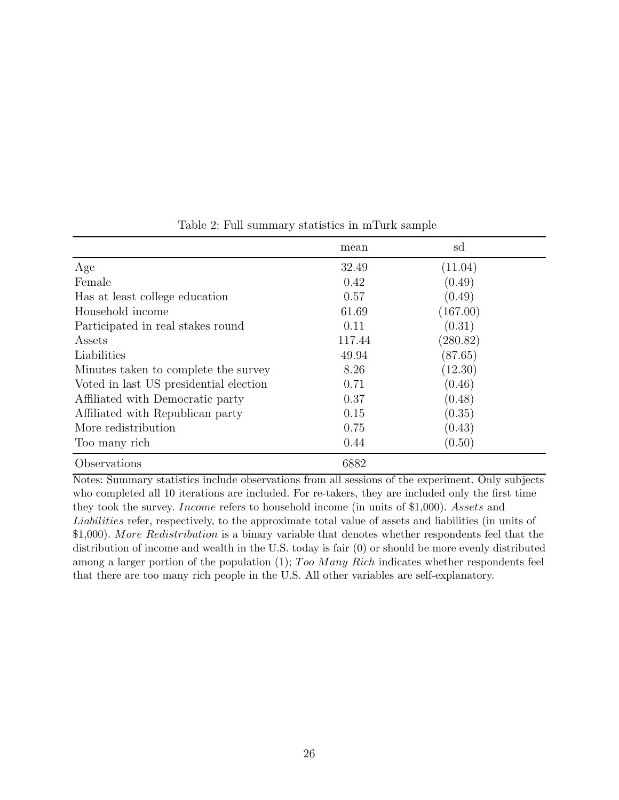|                                        | mean   | sd       |
|----------------------------------------|--------|----------|
| Age                                    | 32.49  | (11.04)  |
| Female                                 | 0.42   | (0.49)   |
| Has at least college education         | 0.57   | (0.49)   |
| Household income                       | 61.69  | (167.00) |
| Participated in real stakes round      | 0.11   | (0.31)   |
| Assets                                 | 117.44 | (280.82) |
| Liabilities                            | 49.94  | (87.65)  |
| Minutes taken to complete the survey   | 8.26   | (12.30)  |
| Voted in last US presidential election | 0.71   | (0.46)   |
| Affiliated with Democratic party       | 0.37   | (0.48)   |
| Affiliated with Republican party       | 0.15   | (0.35)   |
| More redistribution                    | 0.75   | (0.43)   |
| Too many rich                          | 0.44   | (0.50)   |
| Observations                           | 6882   |          |

Table 2: Full summary statistics in mTurk sample

Notes: Summary statistics include observations from all sessions of the experiment. Only subjects who completed all 10 iterations are included. For re-takers, they are included only the first time they took the survey. Income refers to household income (in units of \$1,000). Assets and Liabilities refer, respectively, to the approximate total value of assets and liabilities (in units of \$1,000). More Redistribution is a binary variable that denotes whether respondents feel that the distribution of income and wealth in the U.S. today is fair (0) or should be more evenly distributed among a larger portion of the population  $(1);$  Too Many Rich indicates whether respondents feel that there are too many rich people in the U.S. All other variables are self-explanatory.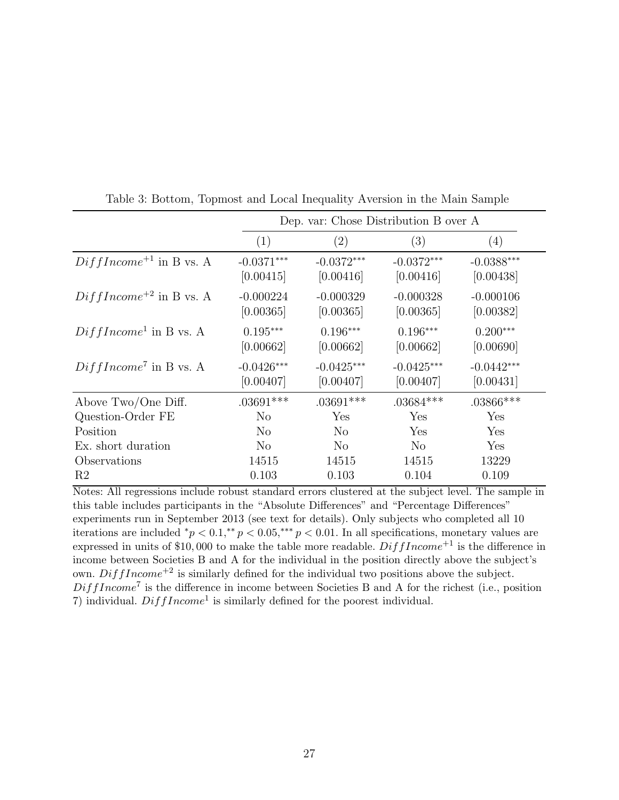|                              |                           | Dep. var: Chose Distribution B over A |                           |                           |  |  |
|------------------------------|---------------------------|---------------------------------------|---------------------------|---------------------------|--|--|
|                              | (1)                       | (2)                                   | (3)                       | $\left( 4\right)$         |  |  |
| $DiffIncome^{+1}$ in B vs. A | $-0.0371***$<br>[0.00415] | $-0.0372***$<br>[0.00416]             | $-0.0372***$<br>[0.00416] | $-0.0388***$<br>[0.00438] |  |  |
| $DiffIncome^{+2}$ in B vs. A | $-0.000224$<br>[0.00365]  | $-0.000329$<br>[0.00365]              | $-0.000328$<br>[0.00365]  | $-0.000106$<br>[0.00382]  |  |  |
| $DiffIncome1$ in B vs. A     | $0.195***$<br>[0.00662]   | $0.196***$<br>[0.00662]               | $0.196***$<br>[0.00662]   | $0.200***$<br>[0.00690]   |  |  |
| $DiffIncome7$ in B vs. A     | $-0.0426***$<br>[0.00407] | $-0.0425***$<br>[0.00407]             | $-0.0425***$<br>[0.00407] | $-0.0442***$<br>[0.00431] |  |  |
| Above $Two/One\ Diff.$       | $.03691***$               | $.03691***$                           | $.03684***$               | $.03866***$               |  |  |
| Question-Order FE            | N <sub>o</sub>            | Yes                                   | Yes                       | Yes                       |  |  |
| Position                     | N <sub>o</sub>            | $\rm No$                              | Yes                       | Yes                       |  |  |
| Ex. short duration           | No                        | N <sub>0</sub>                        | N <sub>o</sub>            | Yes                       |  |  |
| Observations                 | 14515                     | 14515                                 | 14515                     | 13229                     |  |  |
| R <sub>2</sub>               | 0.103                     | 0.103                                 | 0.104                     | 0.109                     |  |  |

Table 3: Bottom, Topmost and Local Inequality Aversion in the Main Sample

Notes: All regressions include robust standard errors clustered at the subject level. The sample in this table includes participants in the "Absolute Differences" and "Percentage Differences" experiments run in September 2013 (see text for details). Only subjects who completed all 10 iterations are included  $\binom{*}{p} < 0.1, \binom{*}{p} < 0.05, \binom{*}{p} < 0.01$ . In all specifications, monetary values are expressed in units of \$10,000 to make the table more readable.  $DiffIncome^{+1}$  is the difference in income between Societies B and A for the individual in the position directly above the subject's own.  $DiffIncome^{+2}$  is similarly defined for the individual two positions above the subject.  $DiffIncome<sup>7</sup>$  is the difference in income between Societies B and A for the richest (i.e., position 7) individual.  $DiffIncome<sup>1</sup>$  is similarly defined for the poorest individual.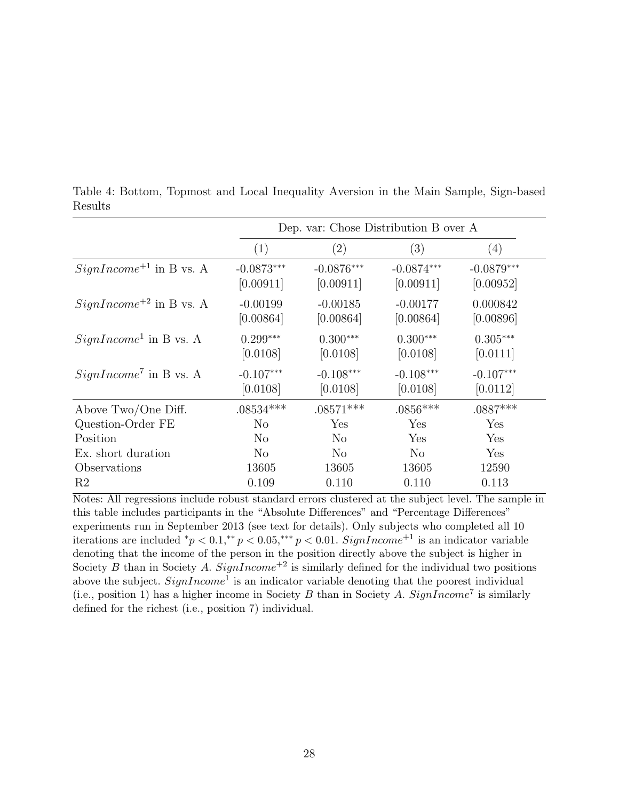|                               |                           | Dep. var: Chose Distribution B over A |                           |                           |  |  |
|-------------------------------|---------------------------|---------------------------------------|---------------------------|---------------------------|--|--|
|                               | (1)                       | (2)                                   | (3)                       | $\left(4\right)$          |  |  |
| $SignHome^{+1}$ in B vs. A    | $-0.0873***$<br>[0.00911] | $-0.0876***$<br>[0.00911]             | $-0.0874***$<br>[0.00911] | $-0.0879***$<br>[0.00952] |  |  |
| $Sign Income^{+2}$ in B vs. A | $-0.00199$<br>[0.00864]   | $-0.00185$<br>[0.00864]               | $-0.00177$<br>[0.00864]   | 0.000842<br>[0.00896]     |  |  |
| $Sign Income1$ in B vs. A     | $0.299***$<br>[0.0108]    | $0.300***$<br>[0.0108]                | $0.300***$<br>[0.0108]    | $0.305***$<br>[0.0111]    |  |  |
| $Sign Income^7$ in B vs. A    | $-0.107***$<br>[0.0108]   | $-0.108***$<br>[0.0108]               | $-0.108***$<br>[0.0108]   | $-0.107***$<br>[0.0112]   |  |  |
| Above Two/One Diff.           | $.08534***$               | $.08571***$                           | $.0856***$                | $.0887***$                |  |  |
| Question-Order FE             | N <sub>o</sub>            | Yes                                   | Yes                       | Yes                       |  |  |
| Position                      | $\rm No$                  | N <sub>o</sub>                        | Yes                       | Yes                       |  |  |
| Ex. short duration            | $\rm No$                  | N <sub>o</sub>                        | N <sub>o</sub>            | Yes                       |  |  |
| Observations                  | 13605                     | 13605                                 | 13605                     | 12590                     |  |  |
| R2                            | 0.109                     | 0.110                                 | 0.110                     | 0.113                     |  |  |

Table 4: Bottom, Topmost and Local Inequality Aversion in the Main Sample, Sign-based Results

Notes: All regressions include robust standard errors clustered at the subject level. The sample in this table includes participants in the "Absolute Differences" and "Percentage Differences" experiments run in September 2013 (see text for details). Only subjects who completed all 10 iterations are included  ${}^*p < 0.1, {}^{**}p < 0.05, {}^{***}p < 0.01$ .  $SignIncome^{+1}$  is an indicator variable denoting that the income of the person in the position directly above the subject is higher in Society B than in Society A. SignIncome<sup>+2</sup> is similarly defined for the individual two positions above the subject.  $SignIncome<sup>1</sup>$  is an indicator variable denoting that the poorest individual (i.e., position 1) has a higher income in Society B than in Society A.  $Sign Income^7$  is similarly defined for the richest (i.e., position 7) individual.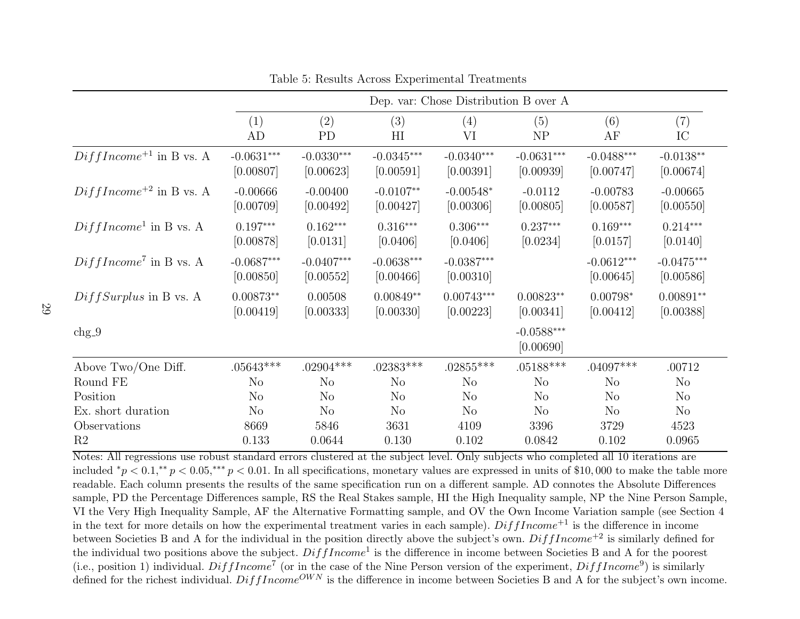|                              | Dep. var: Chose Distribution B over A |                           |                           |                           |                           |                           |                           |
|------------------------------|---------------------------------------|---------------------------|---------------------------|---------------------------|---------------------------|---------------------------|---------------------------|
|                              | (1)<br>AD                             | (2)<br><b>PD</b>          | (3)<br>HI                 | (4)<br>VI                 | (5)<br>NP                 | (6)<br>AF                 | (7)<br>IC                 |
| $DiffIncome^{+1}$ in B vs. A | $-0.0631***$<br>[0.00807]             | $-0.0330***$<br>[0.00623] | $-0.0345***$<br>[0.00591] | $-0.0340***$<br>[0.00391] | $-0.0631***$<br>[0.00939] | $-0.0488***$<br>[0.00747] | $-0.0138**$<br>[0.00674]  |
| $DiffIncome^{+2}$ in B vs. A | $-0.00666$<br>[0.00709]               | $-0.00400$<br>[0.00492]   | $-0.0107**$<br>[0.00427]  | $-0.00548*$<br>[0.00306]  | $-0.0112$<br>[0.00805]    | $-0.00783$<br>[0.00587]   | $-0.00665$<br>[0.00550]   |
| $DiffIncome1$ in B vs. A     | $0.197***$<br>[0.00878]               | $0.162***$<br>[0.0131]    | $0.316***$<br>[0.0406]    | $0.306***$<br>[0.0406]    | $0.237***$<br>[0.0234]    | $0.169***$<br>[0.0157]    | $0.214***$<br>[0.0140]    |
| $DiffIncome7$ in B vs. A     | $-0.0687***$<br>[0.00850]             | $-0.0407***$<br>[0.00552] | $-0.0638***$<br>[0.00466] | $-0.0387***$<br>[0.00310] |                           | $-0.0612***$<br>[0.00645] | $-0.0475***$<br>[0.00586] |
| $DiffSurplus$ in B vs. A     | $0.00873**$<br>[0.00419]              | 0.00508<br>[0.00333]      | $0.00849**$<br>[0.00330]  | $0.00743***$<br>[0.00223] | $0.00823**$<br>[0.00341]  | $0.00798*$<br>[0.00412]   | $0.00891**$<br>[0.00388]  |
| $chg_9$                      |                                       |                           |                           |                           | $-0.0588***$<br>[0.00690] |                           |                           |
| Above Two/One Diff.          | $.05643***$                           | $.02904***$               | $.02383***$               | $.02855***$               | $.05188***$               | $.04097***$               | .00712                    |
| Round FE                     | N <sub>o</sub>                        | N <sub>o</sub>            | N <sub>o</sub>            | N <sub>o</sub>            | N <sub>o</sub>            | N <sub>o</sub>            | N <sub>o</sub>            |
| Position                     | N <sub>o</sub>                        | $\rm No$                  | $\rm No$                  | N <sub>o</sub>            | $\rm No$                  | $\rm No$                  | $\rm No$                  |
| Ex. short duration           | N <sub>o</sub>                        | $\rm No$                  | $\rm No$                  | N <sub>o</sub>            | N <sub>o</sub>            | $\rm No$                  | No                        |
| Observations                 | 8669                                  | 5846                      | 3631                      | 4109                      | 3396                      | 3729                      | 4523                      |
| R <sub>2</sub>               | 0.133                                 | 0.0644                    | 0.130                     | 0.102                     | 0.0842                    | 0.102                     | 0.0965                    |

Table 5: Results Across Experimental Treatments

 Notes: All regressions use robust standard errors clustered at the subject level. Only subjects who completed all 10 iterations areincluded  ${}^*p < 0.1, {}^{**}p < 0.05, {}^{***}p < 0.01$ . In all specifications, monetary values are expressed in units of \$10,000 to make the table more readable. Each column presents the results of the same specification run on <sup>a</sup> different sample. AD connotes the Absolute Differences sample, PD the Percentage Differences sample, RS the Real Stakes sample, HI the High Inequality sample, NP the Nine Person Sample, VI the Very High Inequality Sample, AF the Alternative Formatting sample, and OV the Own Income Variation sample (see Section <sup>4</sup>in the text for more details on how the experimental treatment varies in each sample).  $DiffIncome^{+1}$  is the difference in income between Societies B and A for the individual in the position directly above the subject's own.  $DiffIncome^{+2}$  is similarly defined for the individual two positions above the subject.  $DiffIncome^1$  is the difference in income between Societies B and A for the poorest (i.e., position 1) individual.  $DiffIncome^7$  (or in the case of the Nine Person version of the experiment,  $DiffIncome^9$ ) is similarly defined for the richest individual.  $DiffIncome^{OWN}$  is the difference in income between Societies B and A for the subject's own income.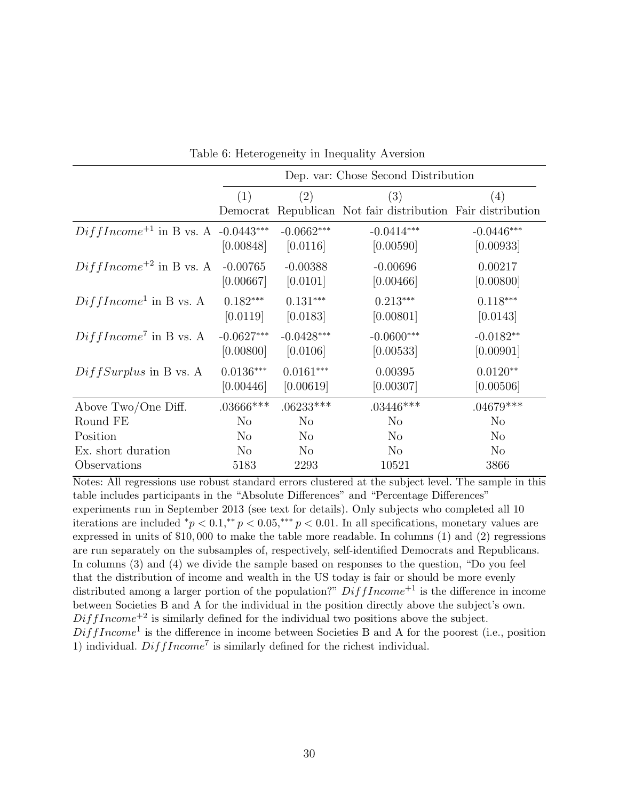|                                         |                | Dep. var: Chose Second Distribution |                                                    |                |  |  |  |
|-----------------------------------------|----------------|-------------------------------------|----------------------------------------------------|----------------|--|--|--|
|                                         | (1)            | (2)                                 | (3)                                                | (4)            |  |  |  |
|                                         | Democrat       |                                     | Republican Not fair distribution Fair distribution |                |  |  |  |
| $DiffIncome^{+1}$ in B vs. A -0.0443*** |                | $-0.0662***$                        | $-0.0414***$                                       | $-0.0446***$   |  |  |  |
|                                         | [0.00848]      | [0.0116]                            | [0.00590]                                          | [0.00933]      |  |  |  |
| $DiffIncome^{+2}$ in B vs. A            | $-0.00765$     | $-0.00388$                          | $-0.00696$                                         | 0.00217        |  |  |  |
|                                         | [0.00667]      | [0.0101]                            | [0.00466]                                          | [0.00800]      |  |  |  |
| $DiffIncome1$ in B vs. A                | $0.182***$     | $0.131***$                          | $0.213***$                                         | $0.118***$     |  |  |  |
|                                         | [0.0119]       | [0.0183]                            | [0.00801]                                          | [0.0143]       |  |  |  |
| $DiffIncome7$ in B vs. A                | $-0.0627***$   | $-0.0428***$                        | $-0.0600***$                                       | $-0.0182**$    |  |  |  |
|                                         | [0.00800]      | [0.0106]                            | [0.00533]                                          | [0.00901]      |  |  |  |
| $DiffSurplus$ in B vs. A                | $0.0136***$    | $0.0161***$                         | 0.00395                                            | $0.0120**$     |  |  |  |
|                                         | [0.00446]      | [0.00619]                           | [0.00307]                                          | [0.00506]      |  |  |  |
| Above Two/One Diff.                     | $.03666***$    | $.06233***$                         | $.03446***$                                        | $.04679***$    |  |  |  |
| Round FE                                | No             | N <sub>o</sub>                      | N <sub>o</sub>                                     | $\rm No$       |  |  |  |
| Position                                | N <sub>o</sub> | N <sub>o</sub>                      | N <sub>o</sub>                                     | $\rm No$       |  |  |  |
| Ex. short duration                      | No.            | No                                  | N <sub>o</sub>                                     | N <sub>o</sub> |  |  |  |
| Observations                            | 5183           | 2293                                | 10521                                              | 3866           |  |  |  |

Table 6: Heterogeneity in Inequality Aversion

Notes: All regressions use robust standard errors clustered at the subject level. The sample in this table includes participants in the "Absolute Differences" and "Percentage Differences" experiments run in September 2013 (see text for details). Only subjects who completed all 10 iterations are included  $\binom{*}{p} < 0.1, \binom{*}{p} < 0.05, \binom{*}{p} < 0.01$ . In all specifications, monetary values are expressed in units of \$10, 000 to make the table more readable. In columns (1) and (2) regressions are run separately on the subsamples of, respectively, self-identified Democrats and Republicans. In columns (3) and (4) we divide the sample based on responses to the question, "Do you feel that the distribution of income and wealth in the US today is fair or should be more evenly distributed among a larger portion of the population?"  $DiffIncome^{+1}$  is the difference in income between Societies B and A for the individual in the position directly above the subject's own.  $DiffIncome^{+2}$  is similarly defined for the individual two positions above the subject.  $DiffIncome<sup>1</sup>$  is the difference in income between Societies B and A for the poorest (i.e., position 1) individual.  $DiffIncome<sup>7</sup>$  is similarly defined for the richest individual.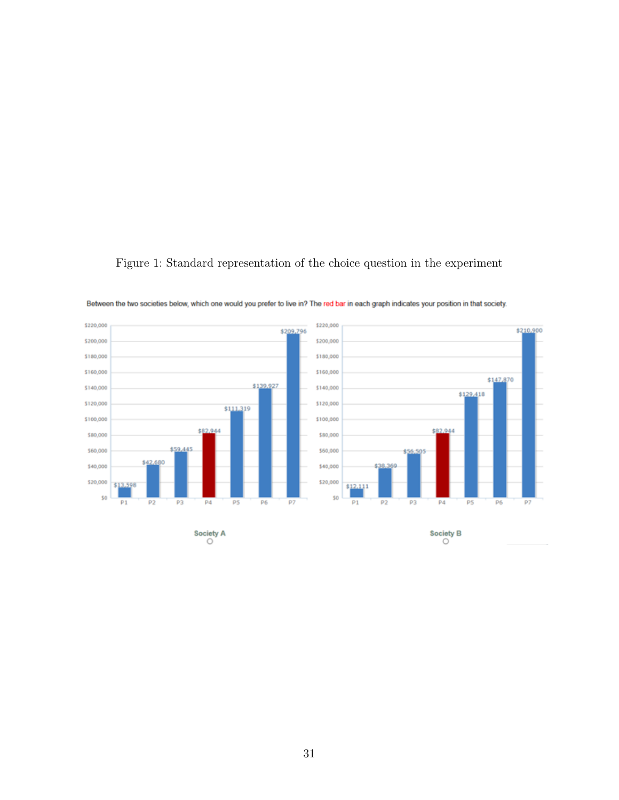

Between the two societies below, which one would you prefer to live in? The red bar in each graph indicates your position in that society.

Figure 1: Standard representation of the choice question in the experiment

 $\overset{\text{Society A}}{\circlearrowright}$ 

 $\overset{\text{Society B}}{\circlearrowright}$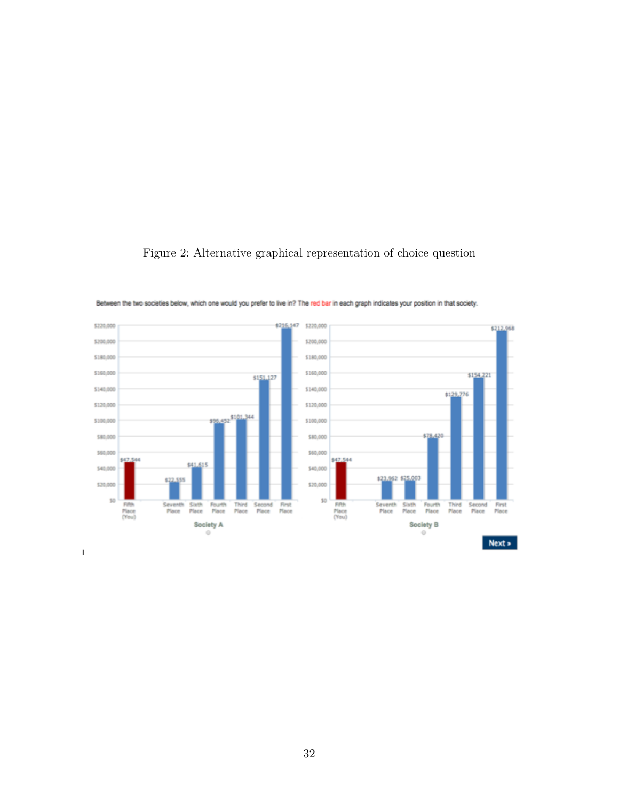

# Figure 2: Alternative graphical representation of choice question

Between the two societies below, which one would you prefer to live in? The red bar in each graph indicates your position in that society.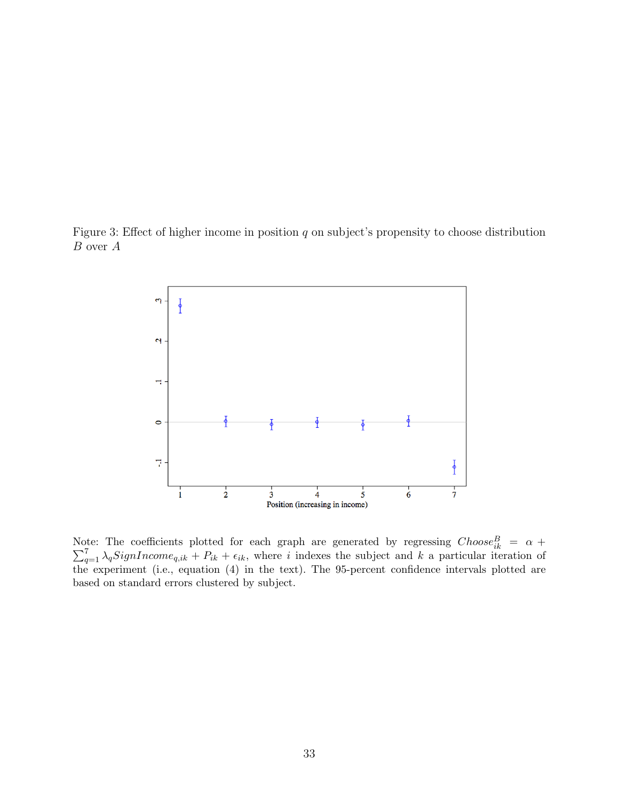Figure 3: Effect of higher income in position  $q$  on subject's propensity to choose distribution B over A



Note: The coefficients plotted for each graph are generated by regressing  $Choose_{ik}^B$  $\sum$ ik the coefficients plotted for each graph are generated by regressing  $Choose_{ik}^B = \alpha + \frac{7}{q=1} \lambda_q Sign Income_{q,ik} + P_{ik} + \epsilon_{ik}$ , where i indexes the subject and k a particular iteration of the experiment (i.e., equation (4) in the text). The 95-percent confidence intervals plotted are based on standard errors clustered by subject.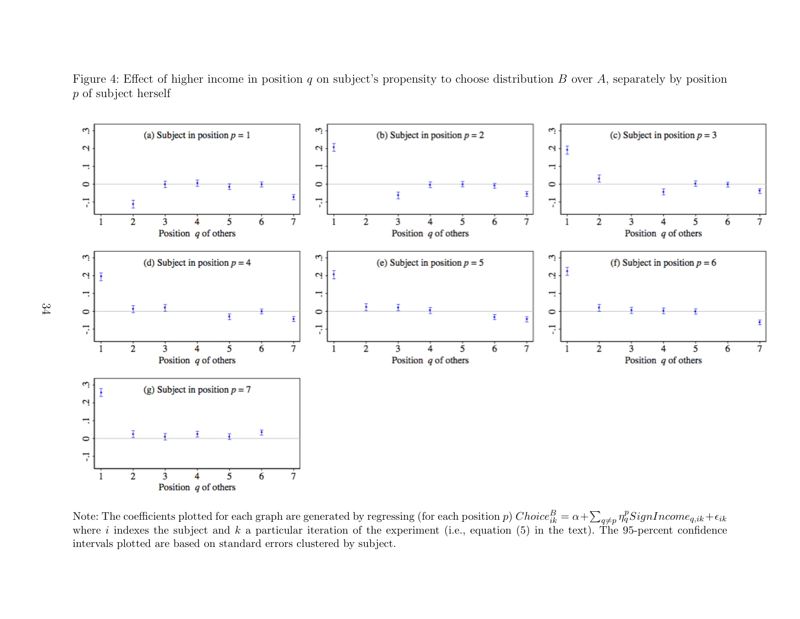Figure 4: Effect of higher income in position q on subject's propensity to choose distribution B over A, separately by position  $f_{\text{c}}$ p of subject herself



Note: The coefficients plotted for each graph are generated by regressing (for each position p)  $Choice_{ik}^B = \alpha + \sum_{q \neq p} \eta_q^p SignIncome_{q,ik} + \epsilon_{ik}$ where *i* indexes the subject and  $k$  a particular iteration of the experiment (i.e., equation (5) in the text). The 95-percent confidence intervals plotted are based on standard errors clustered by subject.

34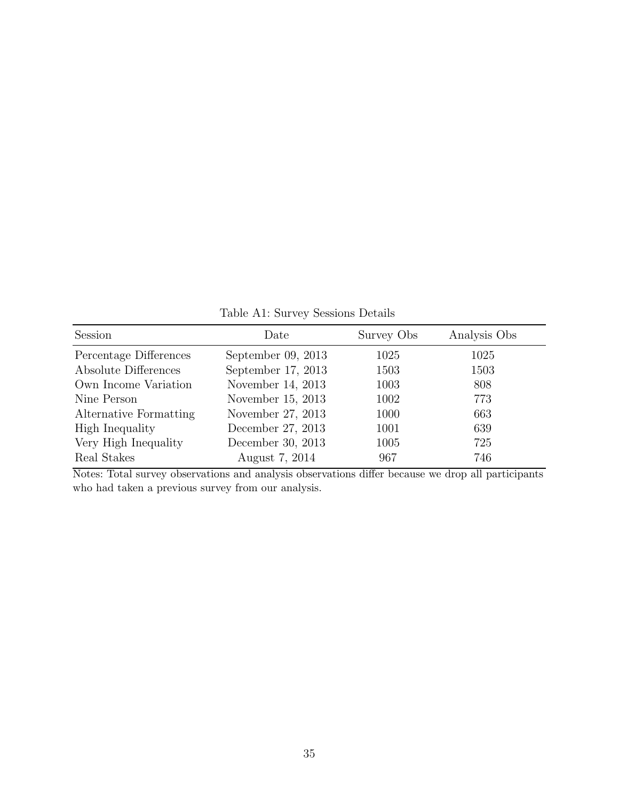| Session                | Date                 | Survey Obs | Analysis Obs |  |
|------------------------|----------------------|------------|--------------|--|
| Percentage Differences | September $09, 2013$ | 1025       | 1025         |  |
| Absolute Differences   | September 17, 2013   | 1503       | 1503         |  |
| Own Income Variation   | November 14, 2013    | 1003       | 808          |  |
| Nine Person            | November 15, 2013    | 1002       | 773          |  |
| Alternative Formatting | November 27, 2013    | 1000       | 663          |  |
| High Inequality        | December 27, 2013    | 1001       | 639          |  |
| Very High Inequality   | December 30, 2013    | 1005       | 725          |  |
| Real Stakes            | August 7, 2014       | 967        | 746          |  |

Table A1: Survey Sessions Details

Notes: Total survey observations and analysis observations differ because we drop all participants who had taken a previous survey from our analysis.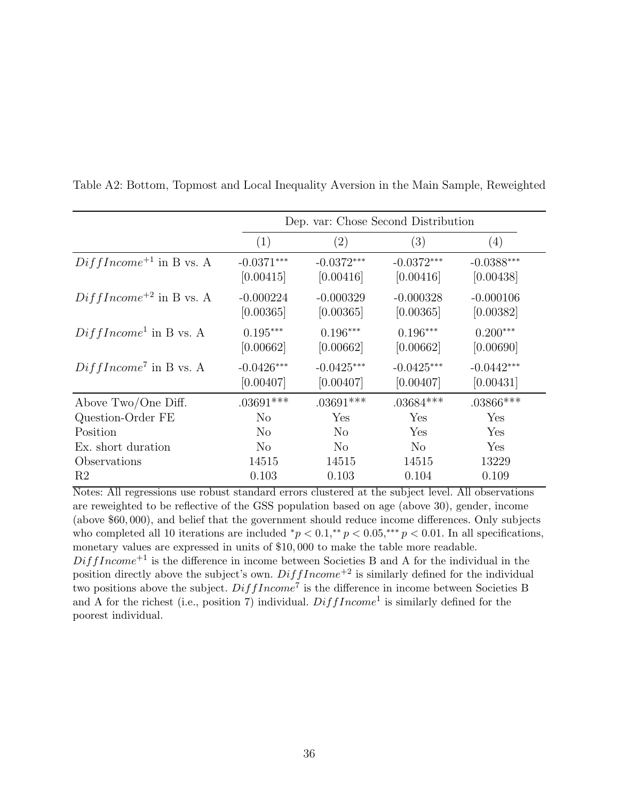|                              | Dep. var: Chose Second Distribution |                           |                           |                           |  |
|------------------------------|-------------------------------------|---------------------------|---------------------------|---------------------------|--|
|                              | (1)                                 | (2)                       | (3)                       | (4)                       |  |
| $DiffIncome^{+1}$ in B vs. A | $-0.0371***$<br>[0.00415]           | $-0.0372***$<br>[0.00416] | $-0.0372***$<br>[0.00416] | $-0.0388***$<br>[0.00438] |  |
| $DiffIncome^{+2}$ in B vs. A | $-0.000224$<br>[0.00365]            | $-0.000329$<br>[0.00365]  | $-0.000328$<br>[0.00365]  | $-0.000106$<br>[0.00382]  |  |
| $DiffIncome1$ in B vs. A     | $0.195***$<br>[0.00662]             | $0.196***$<br>[0.00662]   | $0.196***$<br>[0.00662]   | $0.200***$<br>[0.00690]   |  |
| $DiffIncome7$ in B vs. A     | $-0.0426***$<br>[0.00407]           | $-0.0425***$<br>[0.00407] | $-0.0425***$<br>[0.00407] | $-0.0442***$<br>[0.00431] |  |
| Above Two/One Diff.          | $.03691***$                         | $.03691***$               | $.03684***$               | $.03866***$               |  |
| Question-Order FE            | N <sub>o</sub>                      | Yes                       | Yes                       | Yes                       |  |
| Position                     | $\rm No$                            | $\rm No$                  | Yes                       | Yes                       |  |
| Ex. short duration           | $\rm No$                            | $\rm No$                  | N <sub>o</sub>            | Yes                       |  |
| Observations                 | 14515                               | 14515                     | 14515                     | 13229                     |  |
| R2                           | 0.103                               | 0.103                     | 0.104                     | 0.109                     |  |

Table A2: Bottom, Topmost and Local Inequality Aversion in the Main Sample, Reweighted

Notes: All regressions use robust standard errors clustered at the subject level. All observations are reweighted to be reflective of the GSS population based on age (above 30), gender, income (above \$60, 000), and belief that the government should reduce income differences. Only subjects who completed all 10 iterations are included  $^*p < 0.1, ^{**}p < 0.05, ^{***}p < 0.01$ . In all specifications, monetary values are expressed in units of \$10, 000 to make the table more readable.  $DiffIncome<sup>+1</sup>$  is the difference in income between Societies B and A for the individual in the position directly above the subject's own.  $DiffIncome^{+2}$  is similarly defined for the individual two positions above the subject.  $DiffIncome^7$  is the difference in income between Societies B and A for the richest (i.e., position 7) individual.  $DiffIncome<sup>1</sup>$  is similarly defined for the poorest individual.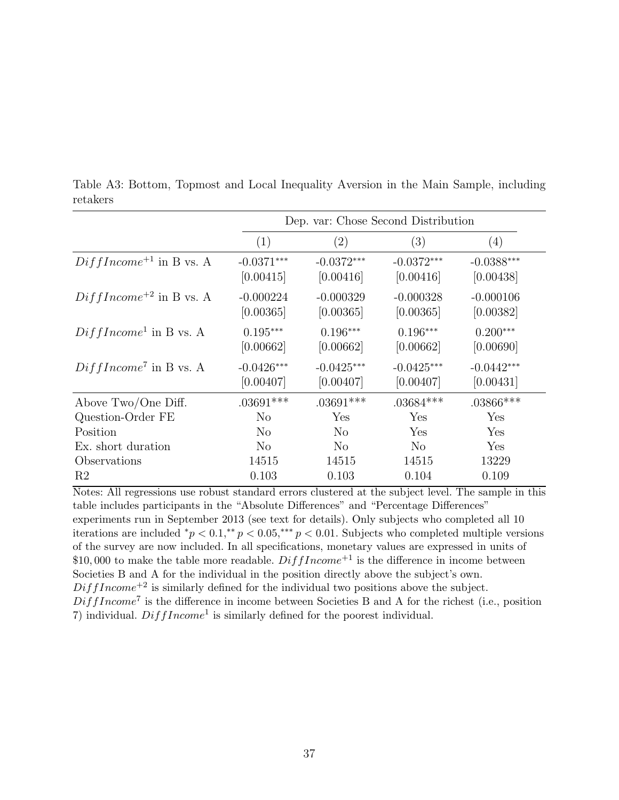|                              | Dep. var: Chose Second Distribution |                           |                           |                           |  |
|------------------------------|-------------------------------------|---------------------------|---------------------------|---------------------------|--|
|                              | (1)                                 | (2)                       | (3)                       | (4)                       |  |
| $DiffIncome^{+1}$ in B vs. A | $-0.0371***$<br>[0.00415]           | $-0.0372***$<br>[0.00416] | $-0.0372***$<br>[0.00416] | $-0.0388***$<br>[0.00438] |  |
| $DiffIncome^{+2}$ in B vs. A | $-0.000224$<br>[0.00365]            | $-0.000329$<br>[0.00365]  | $-0.000328$<br>[0.00365]  | $-0.000106$<br>[0.00382]  |  |
| $DiffIncome1$ in B vs. A     | $0.195***$<br>[0.00662]             | $0.196***$<br>[0.00662]   | $0.196***$<br>[0.00662]   | $0.200***$<br>[0.00690]   |  |
| $DiffIncome7$ in B vs. A     | $-0.0426***$<br>[0.00407]           | $-0.0425***$<br>[0.00407] | $-0.0425***$<br>[0.00407] | $-0.0442***$<br>[0.00431] |  |
| Above Two/One Diff.          | $.03691***$                         | $.03691***$               | $.03684***$               | $.03866$ ***              |  |
| Question-Order FE            | No                                  | Yes                       | Yes                       | Yes                       |  |
| Position                     | N <sub>o</sub>                      | N <sub>o</sub>            | Yes                       | Yes                       |  |
| Ex. short duration           | $\rm No$                            | N <sub>o</sub>            | N <sub>o</sub>            | Yes                       |  |
| Observations                 | 14515                               | 14515                     | 14515                     | 13229                     |  |
| R2                           | 0.103                               | 0.103                     | 0.104                     | 0.109                     |  |

Table A3: Bottom, Topmost and Local Inequality Aversion in the Main Sample, including retakers

Notes: All regressions use robust standard errors clustered at the subject level. The sample in this table includes participants in the "Absolute Differences" and "Percentage Differences" experiments run in September 2013 (see text for details). Only subjects who completed all 10 iterations are included  $\binom{*}{p} < 0.1, \binom{*}{p} < 0.05, \binom{*}{p} < 0.01$ . Subjects who completed multiple versions of the survey are now included. In all specifications, monetary values are expressed in units of \$10,000 to make the table more readable.  $DiffIncome^{+1}$  is the difference in income between Societies B and A for the individual in the position directly above the subject's own.  $DiffIncome^{+2}$  is similarly defined for the individual two positions above the subject.  $DiffIncome<sup>7</sup>$  is the difference in income between Societies B and A for the richest (i.e., position 7) individual.  $DiffIncome<sup>1</sup>$  is similarly defined for the poorest individual.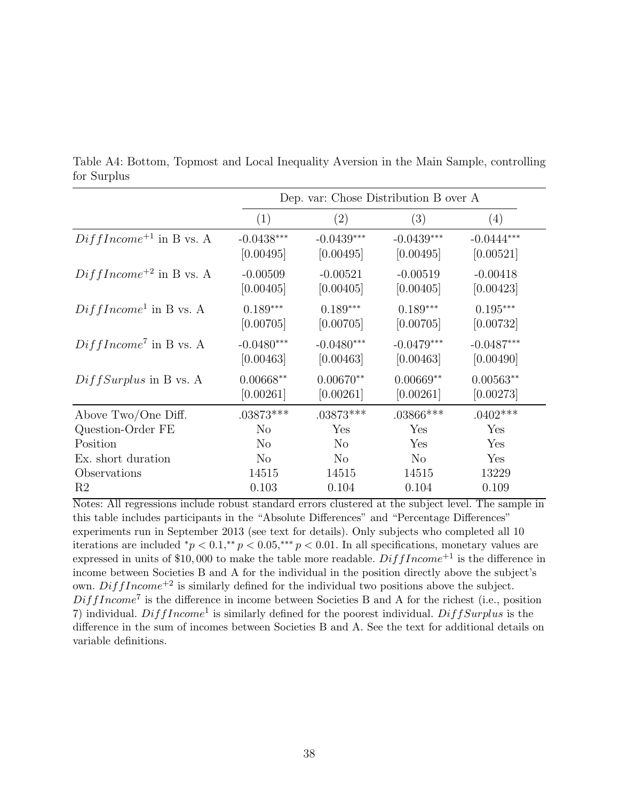|                              |                           | Dep. var: Chose Distribution B over A |                           |                           |  |  |
|------------------------------|---------------------------|---------------------------------------|---------------------------|---------------------------|--|--|
|                              | (1)                       | (2)                                   | (3)                       | (4)                       |  |  |
| $DiffIncome^{+1}$ in B vs. A | $-0.0438***$<br>[0.00495] | $-0.0439***$<br>[0.00495]             | $-0.0439***$<br>[0.00495] | $-0.0444***$<br>[0.00521] |  |  |
| $DiffIncome^{+2}$ in B vs. A | $-0.00509$<br>[0.00405]   | $-0.00521$<br>[0.00405]               | $-0.00519$<br>[0.00405]   | $-0.00418$<br>[0.00423]   |  |  |
| $DiffIncome1$ in B vs. A     | $0.189***$<br>[0.00705]   | $0.189***$<br>[0.00705]               | $0.189***$<br>[0.00705]   | $0.195***$<br>[0.00732]   |  |  |
| $DiffIncome7$ in B vs. A     | $-0.0480***$<br>[0.00463] | $-0.0480***$<br>[0.00463]             | $-0.0479***$<br>[0.00463] | $-0.0487***$<br>[0.00490] |  |  |
| $DiffSurplus$ in B vs. A     | $0.00668**$<br>[0.00261]  | $0.00670**$<br>[0.00261]              | $0.00669**$<br>[0.00261]  | $0.00563**$<br>[0.00273]  |  |  |
| Above $Two/One\ Diff.$       | $.03873***$               | $.03873***$                           | $.03866***$               | $.0402***$                |  |  |
| Question-Order FE            | N <sub>o</sub>            | Yes                                   | Yes                       | Yes                       |  |  |
| Position                     | N <sub>o</sub>            | $\rm No$                              | Yes                       | Yes                       |  |  |
| Ex. short duration           | N <sub>o</sub>            | N <sub>o</sub>                        | N <sub>o</sub>            | Yes                       |  |  |
| Observations                 | 14515                     | 14515                                 | 14515                     | 13229                     |  |  |
| R2                           | 0.103                     | 0.104                                 | 0.104                     | 0.109                     |  |  |

Table A4: Bottom, Topmost and Local Inequality Aversion in the Main Sample, controlling for Surplus

Notes: All regressions include robust standard errors clustered at the subject level. The sample in this table includes participants in the "Absolute Differences" and "Percentage Differences" experiments run in September 2013 (see text for details). Only subjects who completed all 10 iterations are included  $\binom{*}{p} < 0.1, \binom{*}{p} < 0.05, \binom{*}{p} < 0.01$ . In all specifications, monetary values are expressed in units of \$10,000 to make the table more readable.  $DiffIncome^{+1}$  is the difference in income between Societies B and A for the individual in the position directly above the subject's own.  $DiffIncome^{+2}$  is similarly defined for the individual two positions above the subject.  $DiffIncome<sup>7</sup>$  is the difference in income between Societies B and A for the richest (i.e., position 7) individual.  $DiffIncome<sup>1</sup>$  is similarly defined for the poorest individual.  $DiffSurplus$  is the difference in the sum of incomes between Societies B and A. See the text for additional details on variable definitions.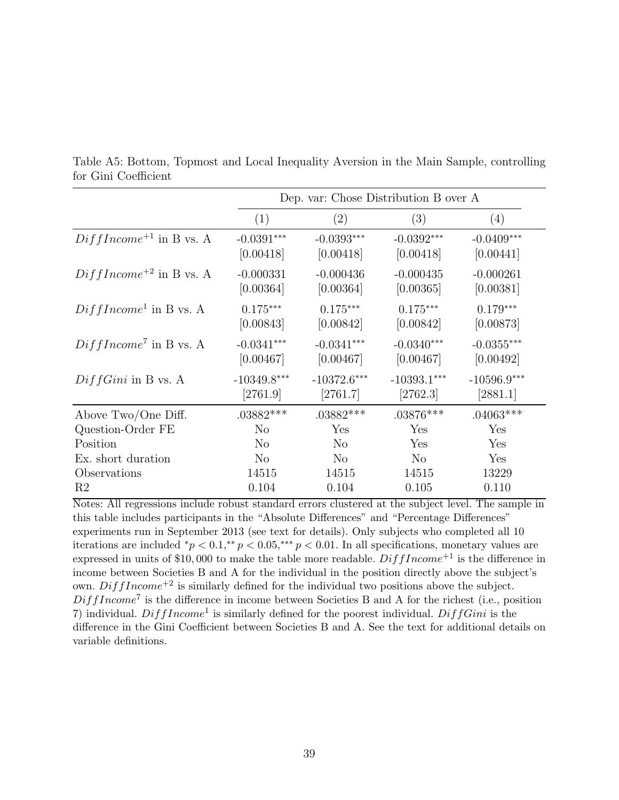|                              |                           | Dep. var: Chose Distribution B over A |                           |                           |  |  |
|------------------------------|---------------------------|---------------------------------------|---------------------------|---------------------------|--|--|
|                              | (1)                       | (2)                                   | (3)                       | (4)                       |  |  |
| $DiffIncome^{+1}$ in B vs. A | $-0.0391***$<br>[0.00418] | $-0.0393***$<br>[0.00418]             | $-0.0392***$<br>[0.00418] | $-0.0409***$<br>[0.00441] |  |  |
| $DiffIncome^{+2}$ in B vs. A | $-0.000331$<br>[0.00364]  | $-0.000436$<br>[0.00364]              | $-0.000435$<br>[0.00365]  | $-0.000261$<br>[0.00381]  |  |  |
| $DiffIncome1$ in B vs. A     | $0.175***$<br>[0.00843]   | $0.175***$<br>[0.00842]               | $0.175***$<br>[0.00842]   | $0.179***$<br>[0.00873]   |  |  |
| $DiffIncome7$ in B vs. A     | $-0.0341***$<br>[0.00467] | $-0.0341***$<br>[0.00467]             | $-0.0340***$<br>[0.00467] | $-0.0355***$<br>[0.00492] |  |  |
| $DiffGini$ in B vs. A        | $-10349.8***$<br>[2761.9] | $-10372.6***$<br>[2761.7]             | $-10393.1***$<br>[2762.3] | $-10596.9***$<br>[2881.1] |  |  |
| Above Two/One Diff.          | $.03882***$               | $.03882***$                           | $.03876***$               | $.04063***$               |  |  |
| Question-Order FE            | $\rm No$                  | Yes                                   | Yes                       | Yes                       |  |  |
| Position                     | N <sub>o</sub>            | $\rm No$                              | Yes                       | Yes                       |  |  |
| Ex. short duration           | N <sub>o</sub>            | N <sub>o</sub>                        | N <sub>o</sub>            | Yes                       |  |  |
| Observations                 | 14515                     | 14515                                 | 14515                     | 13229                     |  |  |
| R2                           | 0.104                     | 0.104                                 | 0.105                     | 0.110                     |  |  |

Table A5: Bottom, Topmost and Local Inequality Aversion in the Main Sample, controlling for Gini Coefficient

Notes: All regressions include robust standard errors clustered at the subject level. The sample in this table includes participants in the "Absolute Differences" and "Percentage Differences" experiments run in September 2013 (see text for details). Only subjects who completed all 10 iterations are included  $\binom{*}{p} < 0.1, \binom{*}{p} < 0.05, \binom{*}{p} < 0.01$ . In all specifications, monetary values are expressed in units of \$10,000 to make the table more readable.  $DiffIncome^{+1}$  is the difference in income between Societies B and A for the individual in the position directly above the subject's own.  $DiffIncome^{+2}$  is similarly defined for the individual two positions above the subject.  $DiffIncome<sup>7</sup>$  is the difference in income between Societies B and A for the richest (i.e., position 7) individual.  $DiffIncome<sup>1</sup>$  is similarly defined for the poorest individual.  $DiffGini$  is the difference in the Gini Coefficient between Societies B and A. See the text for additional details on variable definitions.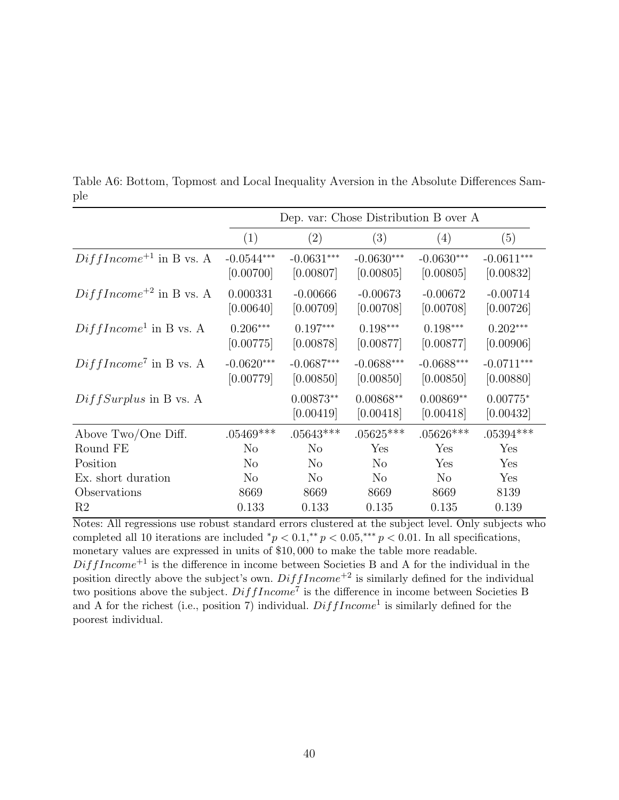|                                 | Dep. var: Chose Distribution B over A |                           |                           |                           |                           |  |
|---------------------------------|---------------------------------------|---------------------------|---------------------------|---------------------------|---------------------------|--|
|                                 | (1)                                   | (2)                       | (3)                       | (4)                       | (5)                       |  |
| $DiffIncome^{+1}$ in B vs. A    | $-0.0544***$<br>[0.00700]             | $-0.0631***$<br>[0.00807] | $-0.0630***$<br>[0.00805] | $-0.0630***$<br>[0.00805] | $-0.0611***$<br>[0.00832] |  |
| $DiffIncome^{+2}$ in B vs. A    | 0.000331<br>[0.00640]                 | $-0.00666$<br>[0.00709]   | $-0.00673$<br>[0.00708]   | $-0.00672$<br>[0.00708]   | $-0.00714$<br>[0.00726]   |  |
| $DiffIncome1$ in B vs. A        | $0.206***$<br>[0.00775]               | $0.197***$<br>[0.00878]   | $0.198***$<br>[0.00877]   | $0.198***$<br>[0.00877]   | $0.202***$<br>[0.00906]   |  |
| $DiffIncome7$ in B vs. A        | $-0.0620***$<br>[0.00779]             | $-0.0687***$<br>[0.00850] | $-0.0688***$<br>[0.00850] | $-0.0688***$<br>[0.00850] | $-0.0711***$<br>[0.00880] |  |
| $DiffSurplus$ in B vs. A        |                                       | $0.00873**$<br>[0.00419]  | $0.00868**$<br>[0.00418]  | $0.00869**$<br>[0.00418]  | $0.00775*$<br>[0.00432]   |  |
| Above Two/One Diff.<br>Round FE | $.05469***$<br>$\rm No$               | $.05643***$<br>$\rm No$   | $.05625***$<br>Yes        | $.05626***$<br>Yes        | $.05394***$<br>Yes        |  |
| Position                        | $\rm No$                              | $\rm No$                  | $\rm No$                  | Yes                       | Yes                       |  |
| Ex. short duration              | No                                    | $\rm No$                  | $\rm No$                  | N <sub>o</sub>            | Yes                       |  |
| Observations                    | 8669                                  | 8669                      | 8669                      | 8669                      | 8139                      |  |
| R2                              | 0.133                                 | 0.133                     | 0.135                     | 0.135                     | 0.139                     |  |

Table A6: Bottom, Topmost and Local Inequality Aversion in the Absolute Differences Sample

Notes: All regressions use robust standard errors clustered at the subject level. Only subjects who completed all 10 iterations are included  $^*p < 0.1, ^{**}p < 0.05, ^{***}p < 0.01$ . In all specifications, monetary values are expressed in units of \$10, 000 to make the table more readable.  $DiffIncome<sup>+1</sup>$  is the difference in income between Societies B and A for the individual in the position directly above the subject's own.  $DiffIncome^{+2}$  is similarly defined for the individual two positions above the subject.  $DiffIncome<sup>7</sup>$  is the difference in income between Societies B and A for the richest (i.e., position 7) individual.  $DiffIncome<sup>1</sup>$  is similarly defined for the poorest individual.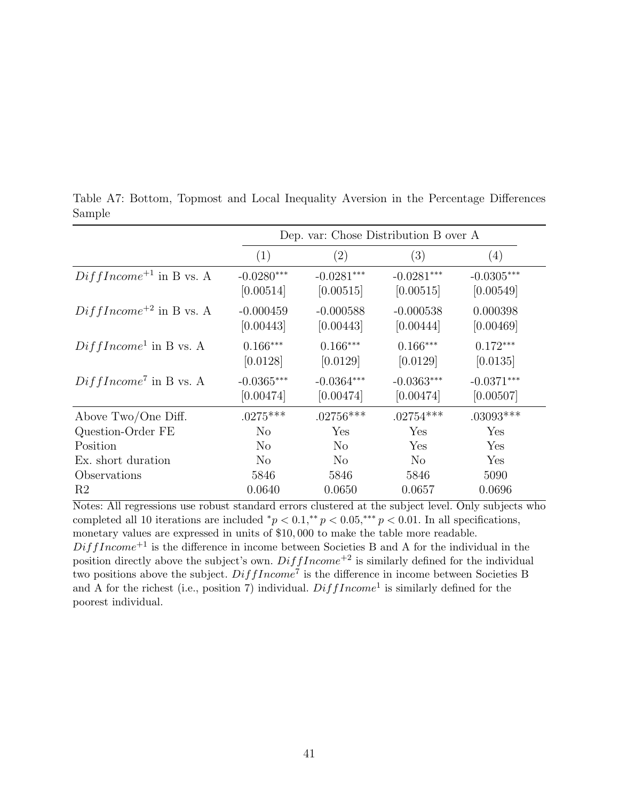|                              |                           |                           | Dep. var: Chose Distribution B over A |                           |
|------------------------------|---------------------------|---------------------------|---------------------------------------|---------------------------|
|                              | (2)<br>(1)                |                           | (3)                                   | $\left( 4\right)$         |
| $DiffIncome^{+1}$ in B vs. A | $-0.0280***$<br>[0.00514] | $-0.0281***$<br>[0.00515] | $-0.0281***$<br>[0.00515]             | $-0.0305***$<br>[0.00549] |
| $DiffIncome^{+2}$ in B vs. A | $-0.000459$<br>[0.00443]  | $-0.000588$<br>[0.00443]  | $-0.000538$<br>[0.00444]              | 0.000398<br>[0.00469]     |
| $DiffIncome1$ in B vs. A     | $0.166***$<br>[0.0128]    | $0.166***$<br>[0.0129]    | $0.166***$<br>[0.0129]                | $0.172***$<br>[0.0135]    |
| $DiffIncome7$ in B vs. A     | $-0.0365***$<br>[0.00474] | $-0.0364***$<br>[0.00474] | $-0.0363***$<br>[0.00474]             | $-0.0371***$<br>[0.00507] |
| Above Two/One Diff.          | $.0275***$                | $.02756***$               | $.02754***$                           | $.03093***$               |
| Question-Order FE            | N <sub>o</sub>            | Yes                       | Yes                                   | Yes                       |
| Position                     | $\rm No$                  | N <sub>o</sub>            | Yes                                   | Yes                       |
| Ex. short duration           | $\rm No$                  | N <sub>0</sub>            | N <sub>o</sub>                        | Yes                       |
| Observations                 | 5846                      | 5846                      | 5846                                  | 5090                      |
| R <sub>2</sub>               | 0.0640                    | 0.0650                    | 0.0657                                | 0.0696                    |

Table A7: Bottom, Topmost and Local Inequality Aversion in the Percentage Differences Sample

Notes: All regressions use robust standard errors clustered at the subject level. Only subjects who completed all 10 iterations are included  $^*p < 0.1, ^{**}p < 0.05, ^{***}p < 0.01$ . In all specifications, monetary values are expressed in units of \$10, 000 to make the table more readable.  $DiffIncome<sup>+1</sup>$  is the difference in income between Societies B and A for the individual in the position directly above the subject's own.  $DiffIncome^{+2}$  is similarly defined for the individual two positions above the subject.  $DiffIncome<sup>7</sup>$  is the difference in income between Societies B and A for the richest (i.e., position 7) individual.  $DiffIncome<sup>1</sup>$  is similarly defined for the poorest individual.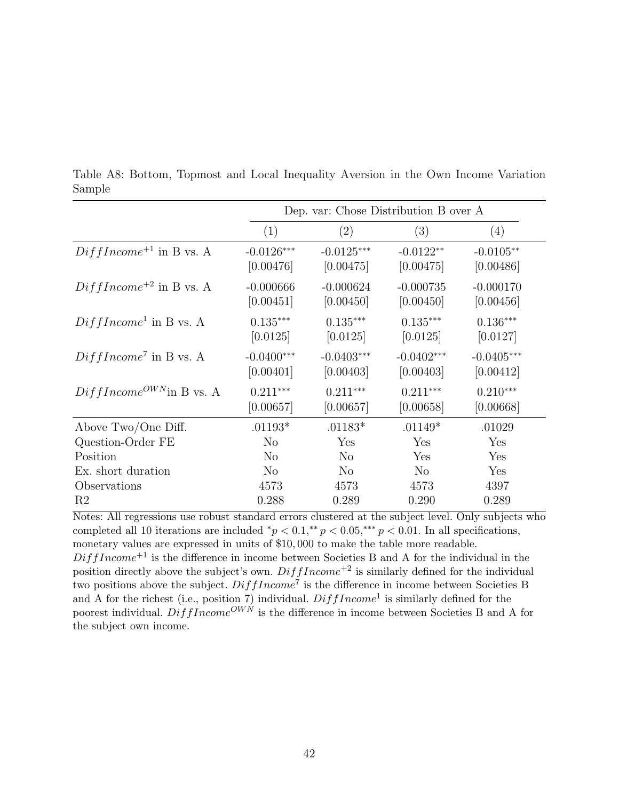|                               | Dep. var: Chose Distribution B over A |                           |                           |                           |  |
|-------------------------------|---------------------------------------|---------------------------|---------------------------|---------------------------|--|
|                               | (1)                                   | (2)                       | (3)                       | (4)                       |  |
| $DiffIncome^{+1}$ in B vs. A  | $-0.0126***$<br>[0.00476]             | $-0.0125***$<br>[0.00475] | $-0.0122**$<br>[0.00475]  | $-0.0105**$<br>[0.00486]  |  |
| $DiffIncome^{+2}$ in B vs. A  | $-0.000666$<br>[0.00451]              | $-0.000624$<br>[0.00450]  | $-0.000735$<br>[0.00450]  | $-0.000170$<br>[0.00456]  |  |
| $DiffIncome1$ in B vs. A      | $0.135***$<br>[0.0125]                | $0.135***$<br>[0.0125]    | $0.135***$<br>[0.0125]    | $0.136***$<br>[0.0127]    |  |
| $DiffIncome7$ in B vs. A      | $-0.0400***$<br>[0.00401]             | $-0.0403***$<br>[0.00403] | $-0.0402***$<br>[0.00403] | $-0.0405***$<br>[0.00412] |  |
| $DiffIncome^{OWN}$ in B vs. A | $0.211***$<br>[0.00657]               | $0.211***$<br>[0.00657]   | $0.211***$<br>[0.00658]   | $0.210***$<br>[0.00668]   |  |
| Above $Two/One\ Diff.$        | $.01193*$                             | $.01183*$                 | $.01149*$                 | .01029                    |  |
| Question-Order FE             | N <sub>o</sub>                        | Yes                       | Yes                       | Yes                       |  |
| Position                      | N <sub>o</sub>                        | $\rm No$                  | Yes                       | Yes                       |  |
| Ex. short duration            | N <sub>o</sub>                        | N <sub>o</sub>            | N <sub>o</sub>            | Yes                       |  |
| Observations                  | 4573                                  | 4573                      | 4573                      | 4397                      |  |
| R2                            | 0.288                                 | 0.289                     | 0.290                     | 0.289                     |  |

Table A8: Bottom, Topmost and Local Inequality Aversion in the Own Income Variation Sample

Notes: All regressions use robust standard errors clustered at the subject level. Only subjects who completed all 10 iterations are included  $^*p < 0.1, ^{**}p < 0.05, ^{***}p < 0.01$ . In all specifications, monetary values are expressed in units of \$10, 000 to make the table more readable.  $DiffIncome<sup>+1</sup>$  is the difference in income between Societies B and A for the individual in the position directly above the subject's own.  $DiffIncome^{+2}$  is similarly defined for the individual two positions above the subject.  $DiffIncome<sup>7</sup>$  is the difference in income between Societies B and A for the richest (i.e., position 7) individual.  $DiffIncome<sup>1</sup>$  is similarly defined for the poorest individual.  $DiffIncome^{OWN}$  is the difference in income between Societies B and A for the subject own income.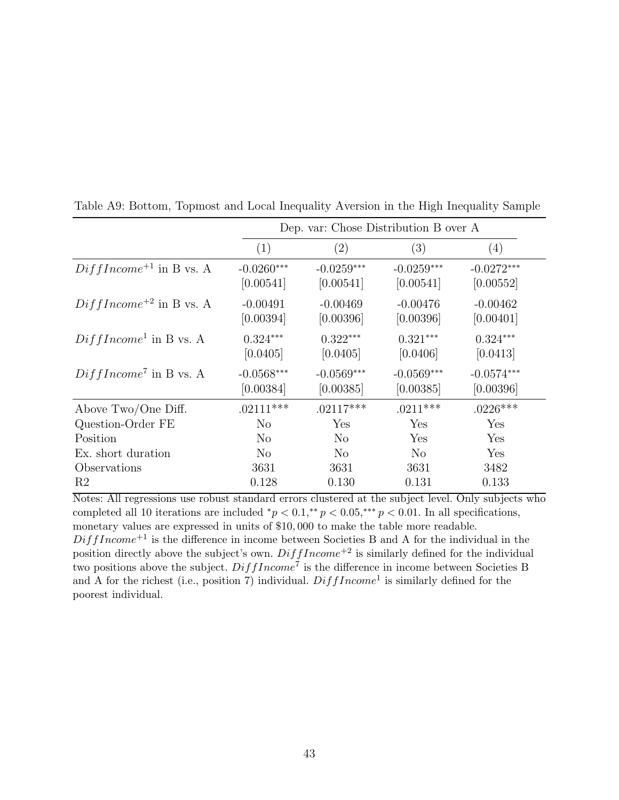|                              |                           | Dep. var: Chose Distribution B over A |                           |                           |
|------------------------------|---------------------------|---------------------------------------|---------------------------|---------------------------|
|                              | (1)                       | (2)                                   | (3)                       | (4)                       |
| $DiffIncome^{+1}$ in B vs. A | $-0.0260***$<br>[0.00541] | $-0.0259***$<br>[0.00541]             | $-0.0259***$<br>[0.00541] | $-0.0272***$<br>[0.00552] |
| $DiffIncome^{+2}$ in B vs. A | $-0.00491$<br>[0.00394]   | $-0.00469$<br>[0.00396]               | $-0.00476$<br>[0.00396]   | $-0.00462$<br>[0.00401]   |
| $DiffIncome1$ in B vs. A     | $0.324***$<br>[0.0405]    | $0.322***$<br>[0.0405]                | $0.321***$<br>[0.0406]    | $0.324***$<br>[0.0413]    |
| $DiffIncome7$ in B vs. A     | $-0.0568***$<br>[0.00384] | $-0.0569***$<br>[0.00385]             | $-0.0569***$<br>[0.00385] | $-0.0574***$<br>[0.00396] |
| Above Two/One Diff.          | $.02111***$               | $.02117***$                           | $.0211***$                | $.0226***$                |
| Question-Order FE            | N <sub>o</sub>            | Yes                                   | Yes                       | Yes                       |
| Position                     | N <sub>o</sub>            | N <sub>o</sub>                        | Yes                       | Yes                       |
| Ex. short duration           | N <sub>o</sub>            | $\rm No$                              | N <sub>o</sub>            | Yes                       |
| Observations                 | 3631                      | 3631                                  | 3631                      | 3482                      |
| R2                           | 0.128                     | 0.130                                 | 0.131                     | 0.133                     |

Table A9: Bottom, Topmost and Local Inequality Aversion in the High Inequality Sample

Notes: All regressions use robust standard errors clustered at the subject level. Only subjects who completed all 10 iterations are included  $^*p < 0.1, ^{**}p < 0.05, ^{***}p < 0.01$ . In all specifications, monetary values are expressed in units of \$10, 000 to make the table more readable.

 $DiffIncome<sup>+1</sup>$  is the difference in income between Societies B and A for the individual in the position directly above the subject's own.  $DiffIncome^{+2}$  is similarly defined for the individual two positions above the subject.  $DiffIncome^7$  is the difference in income between Societies B and A for the richest (i.e., position 7) individual.  $DiffIncome<sup>1</sup>$  is similarly defined for the poorest individual.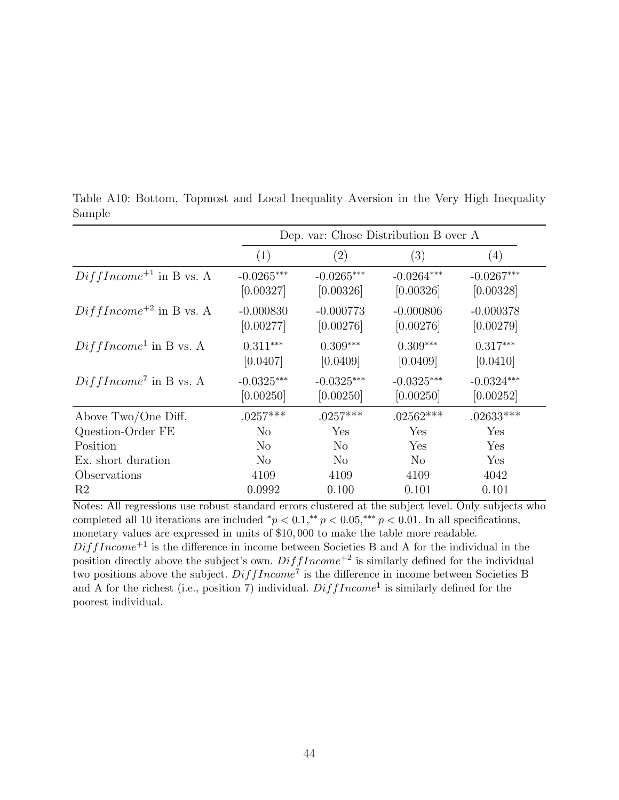|                              |                           | Dep. var: Chose Distribution B over A |                           |                           |  |  |  |
|------------------------------|---------------------------|---------------------------------------|---------------------------|---------------------------|--|--|--|
|                              | (1)                       | (2)                                   | (3)                       | $\left( 4\right)$         |  |  |  |
| $DiffIncome^{+1}$ in B vs. A | $-0.0265***$<br>[0.00327] | $-0.0265***$<br>[0.00326]             | $-0.0264***$<br>[0.00326] | $-0.0267***$<br>[0.00328] |  |  |  |
| $DiffIncome^{+2}$ in B vs. A | $-0.000830$<br>[0.00277]  | $-0.000773$<br>[0.00276]              | $-0.000806$<br>[0.00276]  | $-0.000378$<br>[0.00279]  |  |  |  |
| $DiffIncome1$ in B vs. A     | $0.311***$<br>[0.0407]    | $0.309***$<br>[0.0409]                | $0.309***$<br>[0.0409]    | $0.317***$<br>[0.0410]    |  |  |  |
| $DiffIncome7$ in B vs. A     | $-0.0325***$<br>[0.00250] | $-0.0325***$<br>[0.00250]             | $-0.0325***$<br>[0.00250] | $-0.0324***$<br>[0.00252] |  |  |  |
| Above Two/One Diff.          | $.0257***$                | $.0257***$                            | $.02562***$               | $.02633***$               |  |  |  |
| Question-Order FE            | $\rm No$                  | Yes                                   | Yes                       | Yes                       |  |  |  |
| Position                     | N <sub>o</sub>            | N <sub>o</sub>                        | Yes                       | Yes                       |  |  |  |
| Ex. short duration           | $\rm No$                  | N <sub>0</sub>                        | N <sub>o</sub>            | Yes                       |  |  |  |
| Observations                 | 4109                      | 4109                                  | 4109                      | 4042                      |  |  |  |
| R2                           | 0.0992                    | 0.100                                 | 0.101                     | 0.101                     |  |  |  |

Table A10: Bottom, Topmost and Local Inequality Aversion in the Very High Inequality Sample

Notes: All regressions use robust standard errors clustered at the subject level. Only subjects who completed all 10 iterations are included  $^*p < 0.1, ^{**}p < 0.05, ^{***}p < 0.01$ . In all specifications, monetary values are expressed in units of \$10, 000 to make the table more readable.  $DiffIncome<sup>+1</sup>$  is the difference in income between Societies B and A for the individual in the position directly above the subject's own.  $DiffIncome^{+2}$  is similarly defined for the individual two positions above the subject.  $DiffIncome<sup>7</sup>$  is the difference in income between Societies B and A for the richest (i.e., position 7) individual.  $DiffIncome<sup>1</sup>$  is similarly defined for the poorest individual.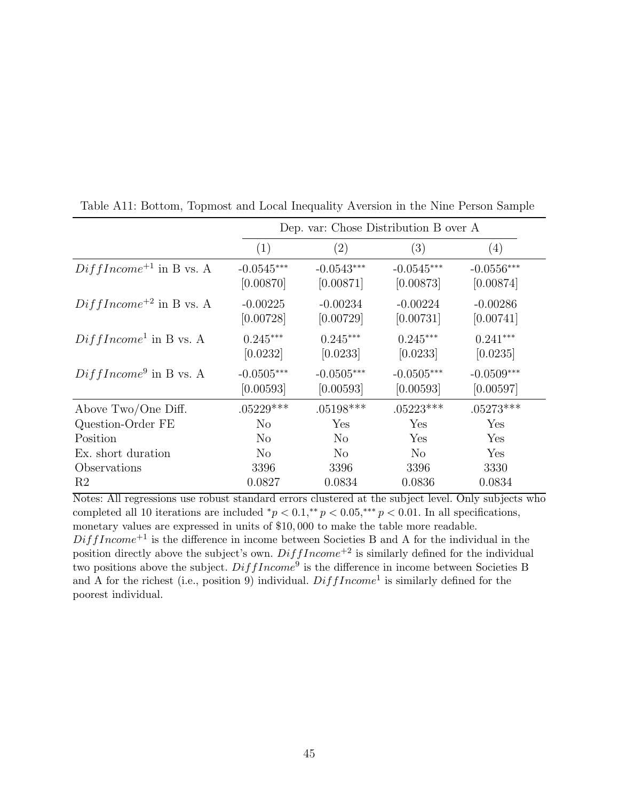|                              |                           |                           | Dep. var: Chose Distribution B over A |                           |
|------------------------------|---------------------------|---------------------------|---------------------------------------|---------------------------|
|                              | (1)<br>(2)                |                           | (3)                                   | (4)                       |
| $DiffIncome^{+1}$ in B vs. A | $-0.0545***$<br>[0.00870] | $-0.0543***$<br>[0.00871] | $-0.0545***$<br>[0.00873]             | $-0.0556***$<br>[0.00874] |
| $DiffIncome^{+2}$ in B vs. A | $-0.00225$<br>[0.00728]   | $-0.00234$<br>[0.00729]   | $-0.00224$<br>[0.00731]               | $-0.00286$<br>[0.00741]   |
| $DiffIncome1$ in B vs. A     | $0.245***$<br>[0.0232]    | $0.245***$<br>[0.0233]    | $0.245***$<br>[0.0233]                | $0.241***$<br>[0.0235]    |
| $DiffIncome9$ in B vs. A     | $-0.0505***$<br>[0.00593] | $-0.0505***$<br>[0.00593] | $-0.0505***$<br>[0.00593]             | $-0.0509***$<br>[0.00597] |
| Above Two/One Diff.          | $.05229***$               | $.05198***$               | $.05223***$                           | $.05273***$               |
| Question-Order FE            | N <sub>o</sub>            | Yes                       | Yes                                   | Yes                       |
| Position                     | $\rm No$                  | N <sub>o</sub>            | Yes                                   | Yes                       |
| Ex. short duration           | $\rm No$                  | $\rm No$                  | $\rm No$                              | Yes                       |
| Observations                 | 3396                      | 3396                      | 3396                                  | 3330                      |
| R2                           | 0.0827                    | 0.0834                    | 0.0836                                | 0.0834                    |

Table A11: Bottom, Topmost and Local Inequality Aversion in the Nine Person Sample

Notes: All regressions use robust standard errors clustered at the subject level. Only subjects who completed all 10 iterations are included  $^*p < 0.1, ^{**}p < 0.05, ^{***}p < 0.01$ . In all specifications, monetary values are expressed in units of \$10, 000 to make the table more readable.

 $DiffIncome<sup>+1</sup>$  is the difference in income between Societies B and A for the individual in the position directly above the subject's own.  $DiffIncome^{+2}$  is similarly defined for the individual two positions above the subject.  $DiffIncome<sup>9</sup>$  is the difference in income between Societies B and A for the richest (i.e., position 9) individual.  $DiffIncome<sup>1</sup>$  is similarly defined for the poorest individual.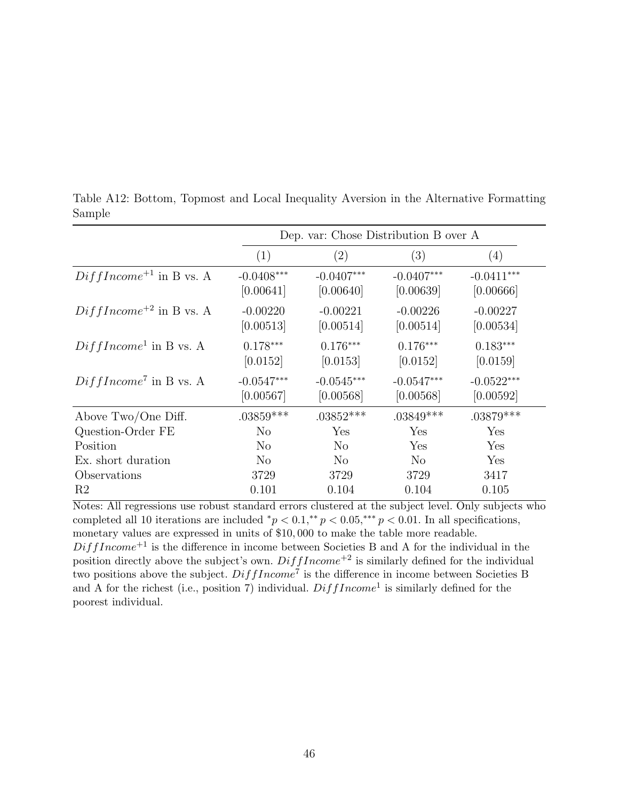|                              |                           | Dep. var: Chose Distribution B over A |                           |                           |
|------------------------------|---------------------------|---------------------------------------|---------------------------|---------------------------|
|                              | (1)                       | $\left( 2\right)$                     | (3)                       | (4)                       |
| $DiffIncome^{+1}$ in B vs. A | $-0.0408***$<br>[0.00641] | $-0.0407***$<br>[0.00640]             | $-0.0407***$<br>[0.00639] | $-0.0411***$<br>[0.00666] |
| $DiffIncome^{+2}$ in B vs. A | $-0.00220$<br>[0.00513]   | $-0.00221$<br>[0.00514]               | $-0.00226$<br>[0.00514]   | $-0.00227$<br>[0.00534]   |
| $DiffIncome1$ in B vs. A     | $0.178***$<br>[0.0152]    | $0.176***$<br>[0.0153]                | $0.176***$<br>[0.0152]    | $0.183***$<br>[0.0159]    |
| $DiffIncome7$ in B vs. A     | $-0.0547***$<br>[0.00567] | $-0.0545***$<br>[0.00568]             | $-0.0547***$<br>[0.00568] | $-0.0522***$<br>[0.00592] |
| Above Two/One Diff.          | $.03859***$               | $.03852***$                           | $.03849***$               | $.03879***$               |
| Question-Order FE            | $\rm No$                  | Yes                                   | Yes                       | Yes                       |
| Position                     | $\rm No$                  | N <sub>o</sub>                        | Yes                       | Yes                       |
| Ex. short duration           | N <sub>o</sub>            | N <sub>o</sub>                        | N <sub>0</sub>            | Yes                       |
| Observations                 | 3729                      | 3729                                  | 3729                      | 3417                      |
| R2                           | 0.101                     | 0.104                                 | 0.104                     | 0.105                     |

Table A12: Bottom, Topmost and Local Inequality Aversion in the Alternative Formatting Sample

Notes: All regressions use robust standard errors clustered at the subject level. Only subjects who completed all 10 iterations are included  $^*p < 0.1, ^{**}p < 0.05, ^{***}p < 0.01$ . In all specifications, monetary values are expressed in units of \$10, 000 to make the table more readable.  $DiffIncome<sup>+1</sup>$  is the difference in income between Societies B and A for the individual in the position directly above the subject's own.  $DiffIncome^{+2}$  is similarly defined for the individual two positions above the subject.  $DiffIncome<sup>7</sup>$  is the difference in income between Societies B and A for the richest (i.e., position 7) individual.  $DiffIncome<sup>1</sup>$  is similarly defined for the poorest individual.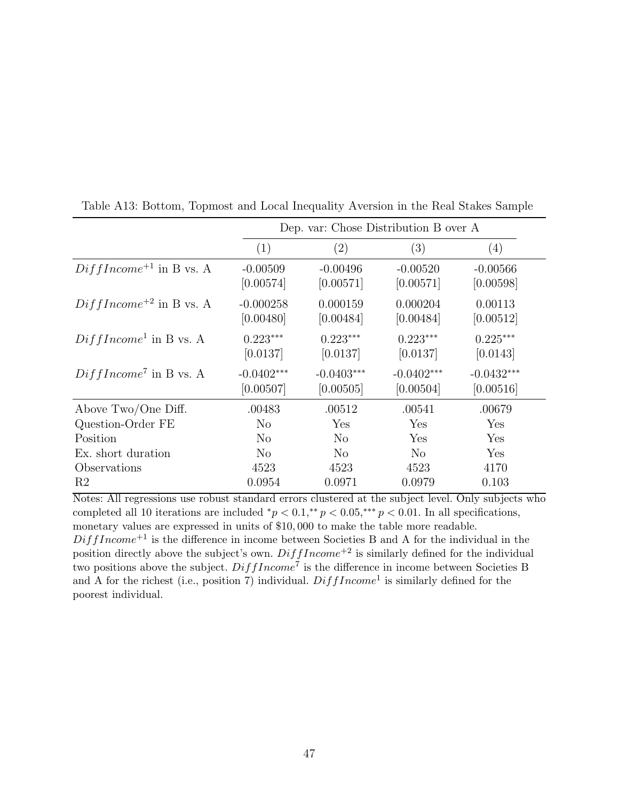|                              |                           |                           | Dep. var: Chose Distribution B over A |                           |
|------------------------------|---------------------------|---------------------------|---------------------------------------|---------------------------|
|                              | (1)                       | (2)                       | (3)                                   | (4)                       |
| $DiffIncome^{+1}$ in B vs. A | $-0.00509$<br>[0.00574]   | $-0.00496$<br>[0.00571]   | $-0.00520$<br>[0.00571]               | $-0.00566$<br>[0.00598]   |
| $DiffIncome^{+2}$ in B vs. A | $-0.000258$<br>[0.00480]  | 0.000159<br>[0.00484]     | 0.000204<br>[0.00484]                 | 0.00113<br>[0.00512]      |
| $DiffIncome1$ in B vs. A     | $0.223***$<br>[0.0137]    | $0.223***$<br>[0.0137]    | $0.223***$<br>[0.0137]                | $0.225***$<br>[0.0143]    |
| $DiffIncome7$ in B vs. A     | $-0.0402***$<br>[0.00507] | $-0.0403***$<br>[0.00505] | $-0.0402***$<br>[0.00504]             | $-0.0432***$<br>[0.00516] |
| Above Two/One Diff.          | .00483                    | .00512                    | .00541                                | .00679                    |
| Question-Order FE            | N <sub>o</sub>            | Yes                       | Yes                                   | Yes                       |
| Position                     | N <sub>o</sub>            | N <sub>o</sub>            | Yes                                   | Yes                       |
| Ex. short duration           | $\rm No$                  | $\rm No$                  | $\rm No$                              | Yes                       |
| Observations                 | 4523                      | 4523                      | 4523                                  | 4170                      |
| R2                           | 0.0954                    | 0.0971                    | 0.0979                                | 0.103                     |

Table A13: Bottom, Topmost and Local Inequality Aversion in the Real Stakes Sample

Notes: All regressions use robust standard errors clustered at the subject level. Only subjects who completed all 10 iterations are included  $^*p < 0.1, ^{**}p < 0.05, ^{***}p < 0.01$ . In all specifications, monetary values are expressed in units of \$10, 000 to make the table more readable.

 $DiffIncome<sup>+1</sup>$  is the difference in income between Societies B and A for the individual in the position directly above the subject's own.  $DiffIncome^{+2}$  is similarly defined for the individual two positions above the subject.  $DiffIncome^7$  is the difference in income between Societies B and A for the richest (i.e., position 7) individual.  $DiffIncome<sup>1</sup>$  is similarly defined for the poorest individual.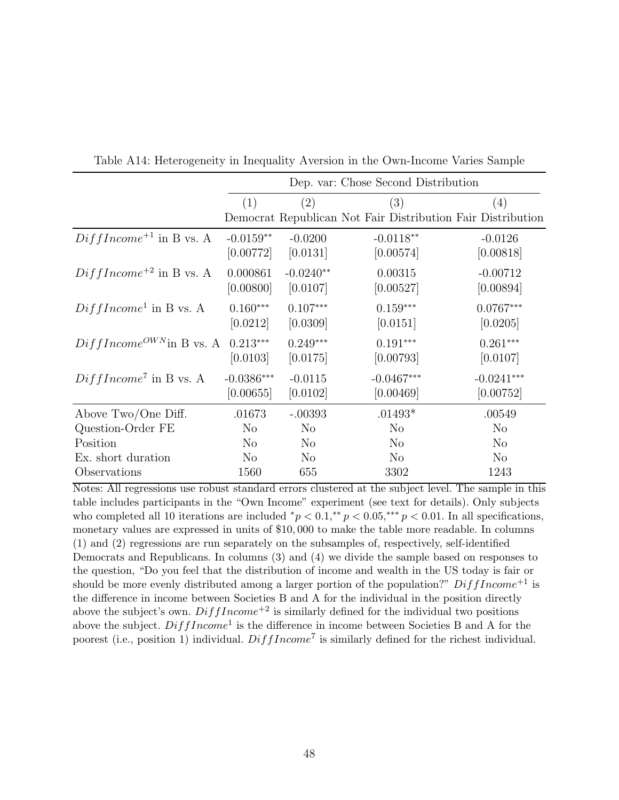|                               | Dep. var: Chose Second Distribution |                |                                                                    |                |  |
|-------------------------------|-------------------------------------|----------------|--------------------------------------------------------------------|----------------|--|
|                               | (1)                                 | (2)            | (3)<br>Democrat Republican Not Fair Distribution Fair Distribution | (4)            |  |
| $DiffIncome^{+1}$ in B vs. A  | $-0.0159**$                         | $-0.0200$      | $-0.0118**$                                                        | $-0.0126$      |  |
|                               | [0.00772]                           | [0.0131]       | [0.00574]                                                          | [0.00818]      |  |
| $DiffIncome^{+2}$ in B vs. A  | 0.000861                            | $-0.0240**$    | 0.00315                                                            | $-0.00712$     |  |
|                               | [0.00800]                           | [0.0107]       | [0.00527]                                                          | [0.00894]      |  |
| $DiffIncome1$ in B vs. A      | $0.160***$                          | $0.107***$     | $0.159***$                                                         | $0.0767***$    |  |
|                               | [0.0212]                            | [0.0309]       | [0.0151]                                                           | [0.0205]       |  |
| $DiffIncome^{OWN}$ in B vs. A | $0.213***$                          | $0.249***$     | $0.191***$                                                         | $0.261***$     |  |
|                               | [0.0103]                            | [0.0175]       | [0.00793]                                                          | [0.0107]       |  |
| $DiffIncome7$ in B vs. A      | $-0.0386***$                        | $-0.0115$      | $-0.0467***$                                                       | $-0.0241***$   |  |
|                               | [0.00655]                           | [0.0102]       | [0.00469]                                                          | [0.00752]      |  |
| Above $Two/One\ Diff.$        | .01673                              | $-.00393$      | $.01493*$                                                          | .00549         |  |
| Question-Order FE             | No                                  | N <sub>o</sub> | N <sub>o</sub>                                                     | N <sub>o</sub> |  |
| Position                      | $\rm No$                            | N <sub>o</sub> | $\rm No$                                                           | N <sub>o</sub> |  |
| Ex. short duration            | $\rm No$                            | N <sub>o</sub> | N <sub>0</sub>                                                     | $\rm No$       |  |
| Observations                  | 1560                                | 655            | 3302                                                               | 1243           |  |

Table A14: Heterogeneity in Inequality Aversion in the Own-Income Varies Sample

Notes: All regressions use robust standard errors clustered at the subject level. The sample in this table includes participants in the "Own Income" experiment (see text for details). Only subjects who completed all 10 iterations are included  $^*p < 0.1, ^{**}p < 0.05, ^{***}p < 0.01$ . In all specifications, monetary values are expressed in units of \$10, 000 to make the table more readable. In columns (1) and (2) regressions are run separately on the subsamples of, respectively, self-identified Democrats and Republicans. In columns (3) and (4) we divide the sample based on responses to the question, "Do you feel that the distribution of income and wealth in the US today is fair or should be more evenly distributed among a larger portion of the population?"  $DiffIncome^{+1}$  is the difference in income between Societies B and A for the individual in the position directly above the subject's own.  $DiffIncome^{+2}$  is similarly defined for the individual two positions above the subject.  $DiffIncome<sup>1</sup>$  is the difference in income between Societies B and A for the poorest (i.e., position 1) individual.  $DiffIncome<sup>7</sup>$  is similarly defined for the richest individual.